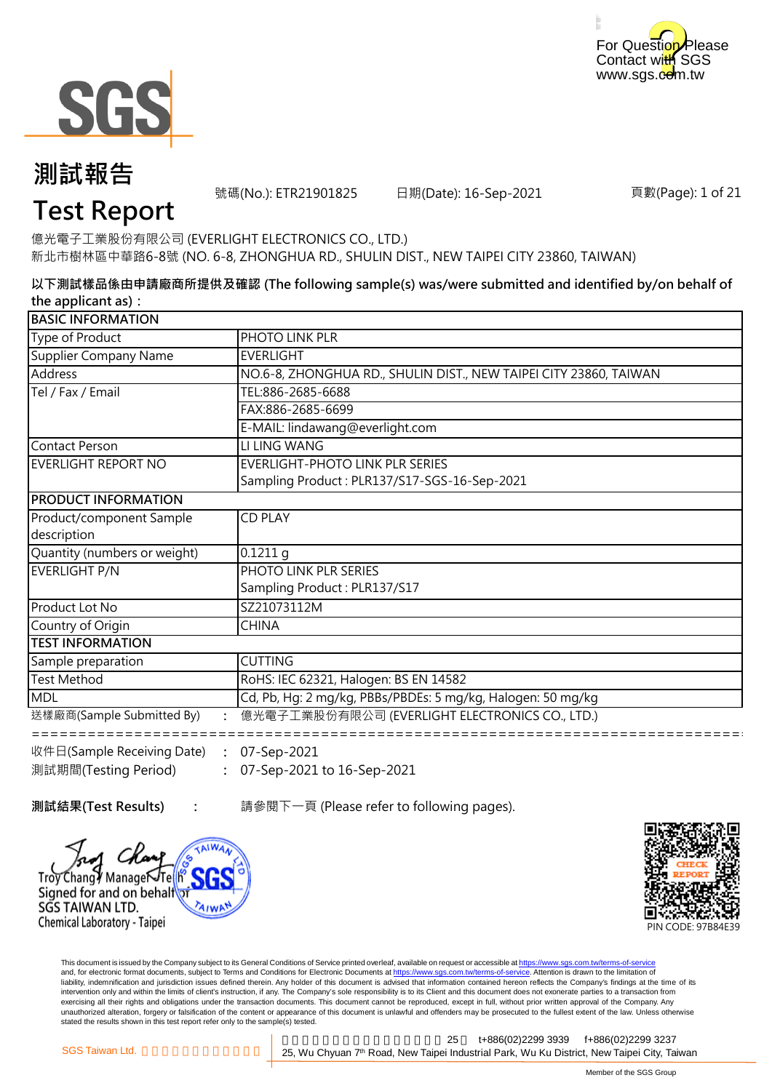



號碼(No.): ETR21901825 日期(Date): 16-Sep-2021

頁數(Page): 1 of 21

### **Test Report**

億光電子工業股份有限公司 (EVERLIGHT ELECTRONICS CO., LTD.) 新北市樹林區中華路6-8號 (NO. 6-8, ZHONGHUA RD., SHULIN DIST., NEW TAIPEI CITY 23860, TAIWAN)

**以下測試樣品係由申請廠商所提供及確認 (The following sample(s) was/were submitted and identified by/on behalf of the applicant as):**

| <b>BASIC INFORMATION</b>                                                |                                                                   |  |
|-------------------------------------------------------------------------|-------------------------------------------------------------------|--|
| Type of Product                                                         | PHOTO LINK PLR                                                    |  |
| Supplier Company Name                                                   | <b>EVERLIGHT</b>                                                  |  |
| Address                                                                 | NO.6-8, ZHONGHUA RD., SHULIN DIST., NEW TAIPEI CITY 23860, TAIWAN |  |
| Tel / Fax / Email                                                       | TEL:886-2685-6688                                                 |  |
|                                                                         | FAX:886-2685-6699                                                 |  |
|                                                                         | E-MAIL: lindawang@everlight.com                                   |  |
| Contact Person                                                          | LI LING WANG                                                      |  |
| EVERLIGHT REPORT NO                                                     | EVERLIGHT-PHOTO LINK PLR SERIES                                   |  |
|                                                                         | Sampling Product: PLR137/S17-SGS-16-Sep-2021                      |  |
| <b>PRODUCT INFORMATION</b>                                              |                                                                   |  |
| Product/component Sample                                                | <b>CD PLAY</b>                                                    |  |
| description                                                             |                                                                   |  |
| Quantity (numbers or weight)                                            | 0.1211q                                                           |  |
| EVERLIGHT P/N                                                           | PHOTO LINK PLR SERIES                                             |  |
|                                                                         | Sampling Product: PLR137/S17                                      |  |
| Product Lot No                                                          | SZ21073112M                                                       |  |
| Country of Origin                                                       | <b>CHINA</b>                                                      |  |
| <b>TEST INFORMATION</b>                                                 |                                                                   |  |
| Sample preparation                                                      | <b>CUTTING</b>                                                    |  |
| <b>Test Method</b>                                                      | RoHS: IEC 62321, Halogen: BS EN 14582                             |  |
| <b>MDL</b>                                                              | Cd, Pb, Hg: 2 mg/kg, PBBs/PBDEs: 5 mg/kg, Halogen: 50 mg/kg       |  |
| 送樣廠商(Sample Submitted By)                                               | 億光電子工業股份有限公司 (EVERLIGHT ELECTRONICS CO., LTD.)                    |  |
| $\mathbb{R}^4$ $\mathbb{R}$ (Sample Receiving Date) $\cdot$ 07-Sen-2021 |                                                                   |  |

**: :** 07-Sep-2021 to 16-Sep-2021 收件日(Sample Receiving Date) 測試期間(Testing Period) 07-Sep-2021

**測試結果(Test Results) :** 請參閱下一頁 (Please refer to following pages).





This document is issued by the Company subject to its General Conditions of Service printed overleaf, available on request or accessible at https://www.sgs.com.tw/terms-of-service and, for electronic format documents, subject to Terms and Conditions for Electronic Documents at https://www.sgs.com.tw/terms-of-service. Attention is drawn to the limitation of liability, indemnification and jurisdiction issues defined therein. Any holder of this document is advised that information contained hereon reflects the Company's findings at the time of its intervention only and within the limits of client's instruction, if any. The Company's sole responsibility is to its Client and this document does not exonerate parties to a transaction from exercising all their rights and obligations under the transaction documents. This document cannot be reproduced, except in full, without prior written approval of the Company. Any<br>unauthorized alteration, forgery or falsif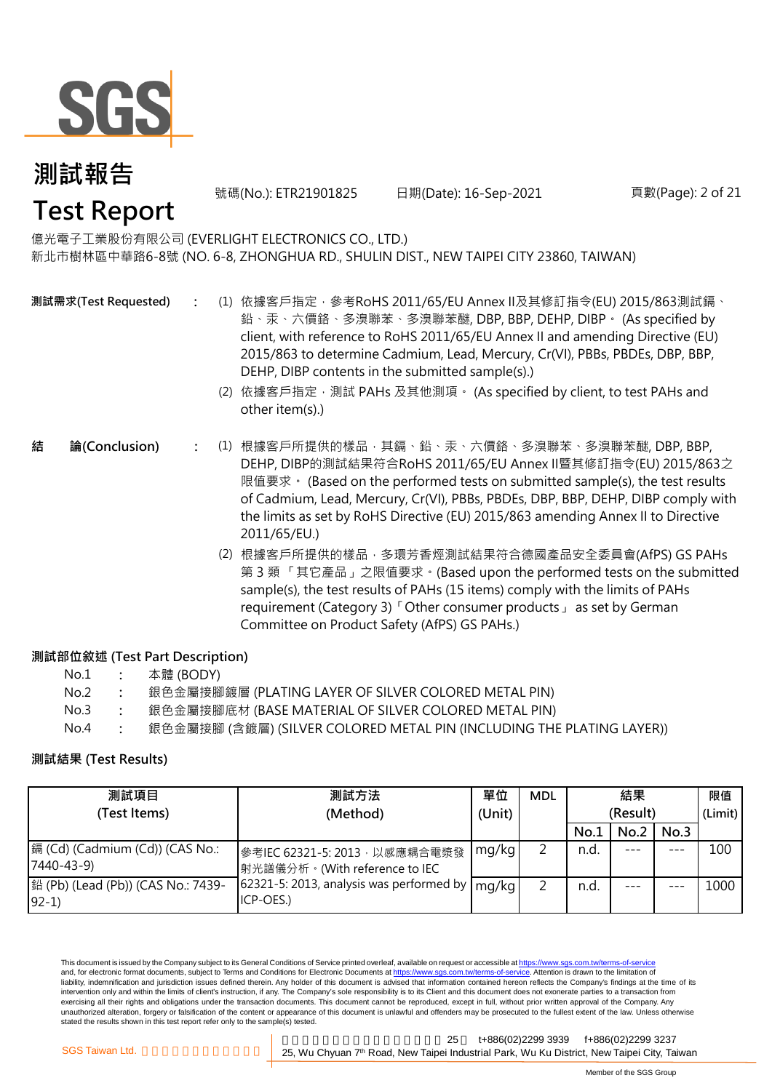

號碼(No.): ETR21901825 日期(Date): 16-Sep-2021 頁數(Page): 2 of 21

#### 億光電子工業股份有限公司 (EVERLIGHT ELECTRONICS CO., LTD.) 新北市樹林區中華路6-8號 (NO. 6-8, ZHONGHUA RD., SHULIN DIST., NEW TAIPEI CITY 23860, TAIWAN)

**測試需求(Test Requested)**

- **:** (1) 依據客戶指定,參考RoHS 2011/65/EU Annex II及其修訂指令(EU) 2015/863測試鎘、 鉛、汞、六價鉻、多溴聯苯、多溴聯苯醚, DBP, BBP, DEHP, DIBP。 (As specified by client, with reference to RoHS 2011/65/EU Annex II and amending Directive (EU) 2015/863 to determine Cadmium, Lead, Mercury, Cr(VI), PBBs, PBDEs, DBP, BBP, DEHP, DIBP contents in the submitted sample(s).)
	- (2) 依據客戶指定,測試 PAHs 及其他測項。 (As specified by client, to test PAHs and other item(s).)
- **:** (1) 根據客戶所提供的樣品,其鎘、鉛、汞、六價鉻、多溴聯苯、多溴聯苯醚, DBP, BBP, **結 論(Conclusion)** DEHP, DIBP的測試結果符合RoHS 2011/65/EU Annex II暨其修訂指令(EU) 2015/863之 限值要求。 (Based on the performed tests on submitted sample(s), the test results of Cadmium, Lead, Mercury, Cr(VI), PBBs, PBDEs, DBP, BBP, DEHP, DIBP comply with the limits as set by RoHS Directive (EU) 2015/863 amending Annex II to Directive 2011/65/EU.)
	- (2) 根據客戶所提供的樣品,多環芳香烴測試結果符合德國產品安全委員會(AfPS) GS PAHs 第 3 類 「其它產品」之限值要求。(Based upon the performed tests on the submitted sample(s), the test results of PAHs (15 items) comply with the limits of PAHs requirement (Category 3)「Other consumer products」 as set by German Committee on Product Safety (AfPS) GS PAHs.)

#### **測試部位敘述 (Test Part Description)**

| No.1 | 本體 (BODY) |
|------|-----------|
|------|-----------|

- No.2 **:** 銀色金屬接腳鍍層 (PLATING LAYER OF SILVER COLORED METAL PIN)
- No.3 **:** 銀色金屬接腳底材 (BASE MATERIAL OF SILVER COLORED METAL PIN)
- No.4 **:** 銀色金屬接腳 (含鍍層) (SILVER COLORED METAL PIN (INCLUDING THE PLATING LAYER))

#### **測試結果 (Test Results)**

| 測試項目                                           | 測試方法                                                            | 單位     | <b>MDL</b> | 結果       |      |         | 限值      |
|------------------------------------------------|-----------------------------------------------------------------|--------|------------|----------|------|---------|---------|
| (Test Items)                                   | (Method)                                                        | (Unit) |            | (Result) |      |         | (Limit) |
|                                                |                                                                 |        |            | No.1     | No.2 | No.3    |         |
| [編 (Cd) (Cadmium (Cd)) (CAS No.:<br>7440-43-9) | 參考IEC 62321-5: 2013, 以感應耦合電漿發<br> 射光譜儀分析。(With reference to IEC | mg/kg  | ∍          | n.d.     |      | $- - -$ | 100     |
| 鉛 (Pb) (Lead (Pb)) (CAS No.: 7439-<br>$92-1)$  | 62321-5: 2013, analysis was performed by<br>ICP-OES.)           | mg/kg  | っ          | n.d.     |      |         | 1000    |

This document is issued by the Company subject to its General Conditions of Service printed overleaf, available on request or accessible at https://www.sgs.com.tw/terms-of-service and, for electronic format documents, subject to Terms and Conditions for Electronic Documents at https://www.sgs.com.tw/terms-of-service. Attention is drawn to the limitation of liability, indemnification and jurisdiction issues defined therein. Any holder of this document is advised that information contained hereon reflects the Company's findings at the time of its intervention only and within the limits of client's instruction, if any. The Company's sole responsibility is to its Client and this document does not exonerate parties to a transaction from exercising all their rights and obligations under the transaction documents. This document cannot be reproduced, except in full, without prior written approval of the Company. Any unauthorized alteration, forgery or falsification of the content or appearance of this document is unlawful and offenders may be prosecuted to the fullest extent of the law. Unless otherwise stated the results shown in this test report refer only to the sample(s) tested.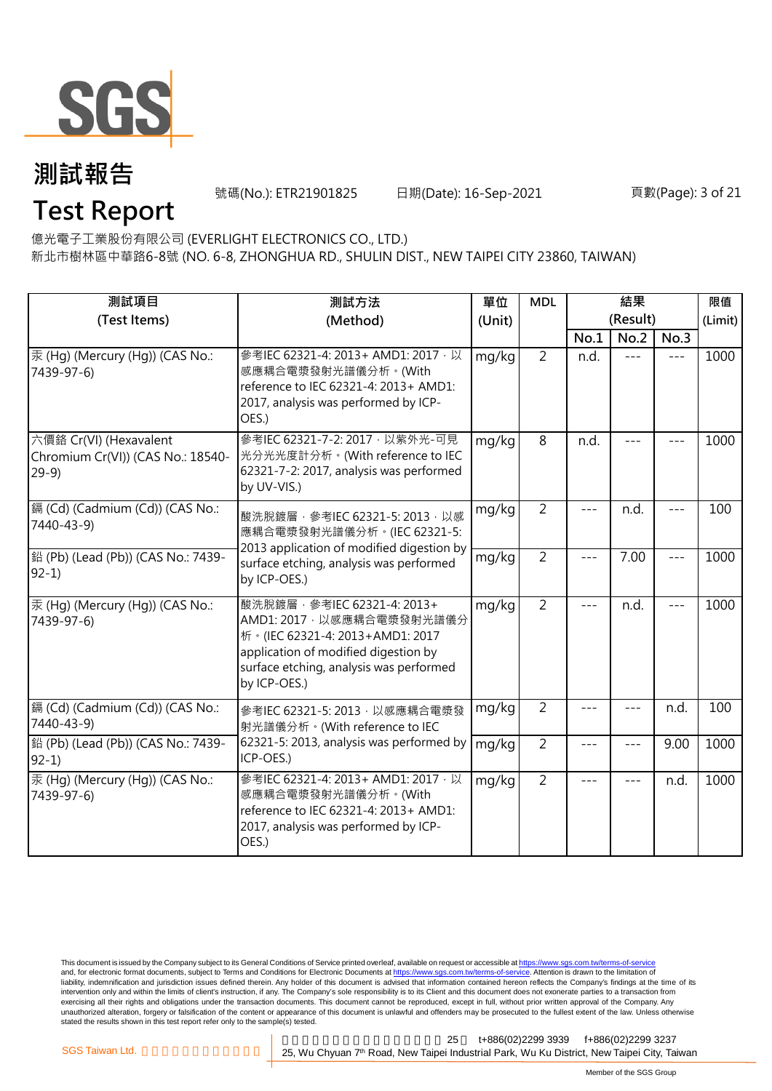

號碼(No.): ETR21901825 日期(Date): 16-Sep-2021 頁數(Page): 3 of 21

**Test Report**

億光電子工業股份有限公司 (EVERLIGHT ELECTRONICS CO., LTD.)

新北市樹林區中華路6-8號 (NO. 6-8, ZHONGHUA RD., SHULIN DIST., NEW TAIPEI CITY 23860, TAIWAN)

| 測試項目                                                                  | 測試方法                                                                                                                                                                                              | 單位     | <b>MDL</b>     |       |                  | 限值      |         |
|-----------------------------------------------------------------------|---------------------------------------------------------------------------------------------------------------------------------------------------------------------------------------------------|--------|----------------|-------|------------------|---------|---------|
| (Test Items)                                                          | (Method)                                                                                                                                                                                          | (Unit) |                | No.1  | (Result)<br>No.2 | No.3    | (Limit) |
| 汞 (Hg) (Mercury (Hg)) (CAS No.:<br>7439-97-6)                         | 參考IEC 62321-4: 2013+ AMD1: 2017 · 以<br>感應耦合電漿發射光譜儀分析。(With<br>reference to IEC 62321-4: 2013+ AMD1:<br>2017, analysis was performed by ICP-<br>OES.)                                              | mg/kg  | $\overline{2}$ | n.d.  | $---$            | $---$   | 1000    |
| 六價鉻 Cr(VI) (Hexavalent<br>Chromium Cr(VI)) (CAS No.: 18540-<br>$29-9$ | 參考IEC 62321-7-2: 2017 · 以紫外光-可見<br>光分光光度計分析。(With reference to IEC<br>62321-7-2: 2017, analysis was performed<br>by UV-VIS.)                                                                      | mg/kg  | 8              | n.d.  |                  |         | 1000    |
| 鎘 (Cd) (Cadmium (Cd)) (CAS No.:<br>7440-43-9)                         | mg/kg<br>酸洗脫鍍層, 參考IEC 62321-5: 2013, 以感<br>應耦合電漿發射光譜儀分析。(IEC 62321-5:                                                                                                                             |        | $\overline{2}$ |       | n.d.             |         | 100     |
| 鉛 (Pb) (Lead (Pb)) (CAS No.: 7439-<br>$92-1)$                         | 2013 application of modified digestion by<br>surface etching, analysis was performed<br>by ICP-OES.)                                                                                              | mg/kg  | $\overline{2}$ | $---$ | 7.00             | $- - -$ | 1000    |
| 汞 (Hg) (Mercury (Hg)) (CAS No.:<br>7439-97-6)                         | 酸洗脫鍍層, 參考IEC 62321-4: 2013+<br>AMD1: 2017 · 以感應耦合電漿發射光譜儀分<br>析 · (IEC 62321-4: 2013+AMD1: 2017<br>application of modified digestion by<br>surface etching, analysis was performed<br>by ICP-OES.) | mg/kg  | $\overline{2}$ | $---$ | n.d.             | $---$   | 1000    |
| 鎘 (Cd) (Cadmium (Cd)) (CAS No.:<br>7440-43-9)                         | 參考IEC 62321-5: 2013, 以感應耦合電漿發<br>射光譜儀分析。(With reference to IEC                                                                                                                                    | mg/kg  | $\overline{2}$ |       |                  | n.d.    | 100     |
| 鉛 (Pb) (Lead (Pb)) (CAS No.: 7439-<br>$92-1$                          | 62321-5: 2013, analysis was performed by<br>ICP-OES.)                                                                                                                                             | mg/kg  | $\overline{2}$ | ---   | $- - -$          | 9.00    | 1000    |
| 汞 (Hq) (Mercury (Hq)) (CAS No.:<br>7439-97-6)                         | 參考IEC 62321-4: 2013+ AMD1: 2017, 以<br>感應耦合電漿發射光譜儀分析。(With<br>reference to IEC 62321-4: 2013+ AMD1:<br>2017, analysis was performed by ICP-<br>OES.)                                               | mg/kg  | $\overline{2}$ | $---$ | $- - -$          | n.d.    | 1000    |

This document is issued by the Company subject to its General Conditions of Service printed overleaf, available on request or accessible at <u>https://www.sgs.com.tw/terms-of-service</u><br>and, for electronic format documents, su liability, indemnification and jurisdiction issues defined therein. Any holder of this document is advised that information contained hereon reflects the Company's findings at the time of its intervention only and within the limits of client's instruction, if any. The Company's sole responsibility is to its Client and this document does not exonerate parties to a transaction from exercising all their rights and obligations under the transaction documents. This document cannot be reproduced, except in full, without prior written approval of the Company. Any<br>unauthorized alteration, forgery or falsif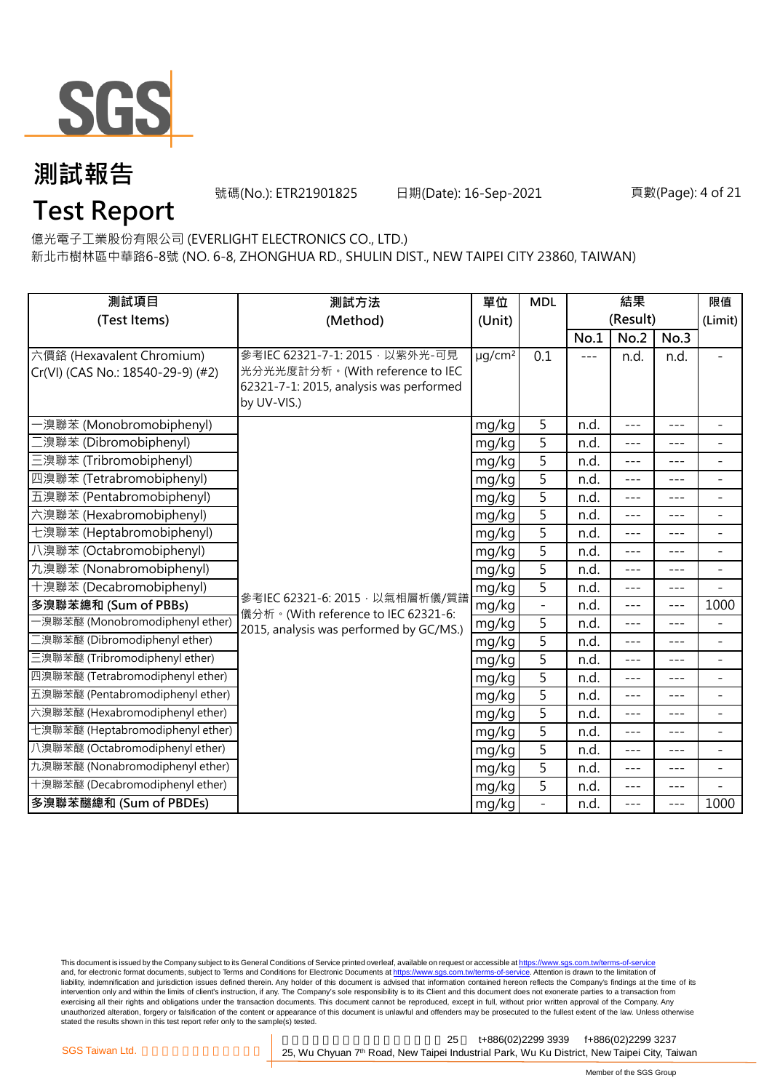

號碼(No.): ETR21901825 日期(Date): 16-Sep-2021 頁數(Page): 4 of 21

**Test Report**

億光電子工業股份有限公司 (EVERLIGHT ELECTRONICS CO., LTD.)

新北市樹林區中華路6-8號 (NO. 6-8, ZHONGHUA RD., SHULIN DIST., NEW TAIPEI CITY 23860, TAIWAN)

| 測試項目<br>測試方法                                                   |                                                                                                                              | 單位                      | <b>MDL</b>               | 結果    |                  |         | 限值                       |
|----------------------------------------------------------------|------------------------------------------------------------------------------------------------------------------------------|-------------------------|--------------------------|-------|------------------|---------|--------------------------|
| (Test Items)                                                   | (Method)                                                                                                                     | (Unit)                  |                          | No.1  | (Result)<br>No.2 | No.3    | (Limit)                  |
| 六價鉻 (Hexavalent Chromium)<br>Cr(VI) (CAS No.: 18540-29-9) (#2) | 參考IEC 62321-7-1: 2015 · 以紫外光-可見<br>光分光光度計分析。(With reference to IEC<br>62321-7-1: 2015, analysis was performed<br>by UV-VIS.) | $\mu$ g/cm <sup>2</sup> | 0.1                      | $---$ | n.d.             | n.d.    | $\overline{\phantom{0}}$ |
| ·溴聯苯 (Monobromobiphenyl)                                       |                                                                                                                              | mg/kg                   | 5                        | n.d.  | $---$            | $- - -$ | ÷.                       |
| [溴聯苯 (Dibromobiphenyl)                                         |                                                                                                                              | mg/kg                   | 5                        | n.d.  | $---$            | ---     | $\blacksquare$           |
| 三溴聯苯 (Tribromobiphenyl)                                        |                                                                                                                              | mg/kg                   | 5                        | n.d.  | $---$            | ---     | $\blacksquare$           |
| 四溴聯苯 (Tetrabromobiphenyl)                                      |                                                                                                                              | mg/kg                   | 5                        | n.d.  | $---$            | $- - -$ | $\overline{\phantom{0}}$ |
| 五溴聯苯 (Pentabromobiphenyl)                                      |                                                                                                                              | mg/kg                   | 5                        | n.d.  | $---$            | $---$   | $\overline{\phantom{a}}$ |
| 六溴聯苯 (Hexabromobiphenyl)                                       |                                                                                                                              | mg/kg                   | 5                        | n.d.  | $---$            | $---$   | $\blacksquare$           |
| 七溴聯苯 (Heptabromobiphenyl)                                      |                                                                                                                              | mg/kg                   | 5                        | n.d.  | $---$            | ---     | $\overline{a}$           |
| 八溴聯苯 (Octabromobiphenyl)                                       |                                                                                                                              | mg/kg                   | 5                        | n.d.  | $---$            | $---$   | $\overline{\phantom{a}}$ |
| 九溴聯苯 (Nonabromobiphenyl)                                       |                                                                                                                              | mg/kg                   | 5                        | n.d.  | ---              | ---     | $\equiv$                 |
| 十溴聯苯 (Decabromobiphenyl)                                       |                                                                                                                              | mg/kg                   | 5                        | n.d.  | $- - -$          | $- - -$ | L.                       |
| 多溴聯苯總和 (Sum of PBBs)                                           | 參考IEC 62321-6: 2015, 以氣相層析儀/質譜<br>儀分析。(With reference to IEC 62321-6:                                                        | mg/kg                   | $\overline{\phantom{0}}$ | n.d.  | ---              | $---$   | 1000                     |
| -溴聯苯醚 (Monobromodiphenyl ether)                                | 2015, analysis was performed by GC/MS.)                                                                                      | mg/kg                   | $\overline{5}$           | n.d.  | $ -$             | $---$   | $\overline{\phantom{a}}$ |
| 二溴聯苯醚 (Dibromodiphenyl ether)                                  |                                                                                                                              | mg/kg                   | 5                        | n.d.  | $- - -$          | $---$   | $\overline{\phantom{a}}$ |
| 三溴聯苯醚 (Tribromodiphenyl ether)                                 |                                                                                                                              | mg/kg                   | 5                        | n.d.  | $- - -$          | ---     | $\overline{\phantom{0}}$ |
| 四溴聯苯醚 (Tetrabromodiphenyl ether)                               |                                                                                                                              | mg/kg                   | 5                        | n.d.  | $- - -$          | $- - -$ | $\blacksquare$           |
| 五溴聯苯醚 (Pentabromodiphenyl ether)                               |                                                                                                                              | mg/kg                   | 5                        | n.d.  | $---$            | $---$   | $\blacksquare$           |
| 六溴聯苯醚 (Hexabromodiphenyl ether)                                |                                                                                                                              | mg/kg                   | 5                        | n.d.  | $---$            | $---$   | $\overline{\phantom{0}}$ |
| 七溴聯苯醚 (Heptabromodiphenyl ether)                               |                                                                                                                              | mg/kg                   | 5                        | n.d.  | $---$            | $---$   | $\overline{a}$           |
| 八溴聯苯醚 (Octabromodiphenyl ether)                                |                                                                                                                              | mg/kg                   | $\overline{5}$           | n.d.  | $- - -$          | $---$   | $\equiv$                 |
| 九溴聯苯醚 (Nonabromodiphenyl ether)                                |                                                                                                                              | mg/kg                   | 5                        | n.d.  | $---$            | $- - -$ | $\blacksquare$           |
| 十溴聯苯醚 (Decabromodiphenyl ether)                                |                                                                                                                              | mg/kg                   | $\overline{5}$           | n.d.  | $- - -$          | ---     | $\overline{a}$           |
| 多溴聯苯醚總和 (Sum of PBDEs)                                         |                                                                                                                              | mg/kg                   | $\overline{a}$           | n.d.  | $---$            | $---$   | 1000                     |

This document is issued by the Company subject to its General Conditions of Service printed overleaf, available on request or accessible at <u>https://www.sgs.com.tw/terms-of-service</u><br>and, for electronic format documents, su liability, indemnification and jurisdiction issues defined therein. Any holder of this document is advised that information contained hereon reflects the Company's findings at the time of its intervention only and within the limits of client's instruction, if any. The Company's sole responsibility is to its Client and this document does not exonerate parties to a transaction from exercising all their rights and obligations under the transaction documents. This document cannot be reproduced, except in full, without prior written approval of the Company. Any<br>unauthorized alteration, forgery or falsif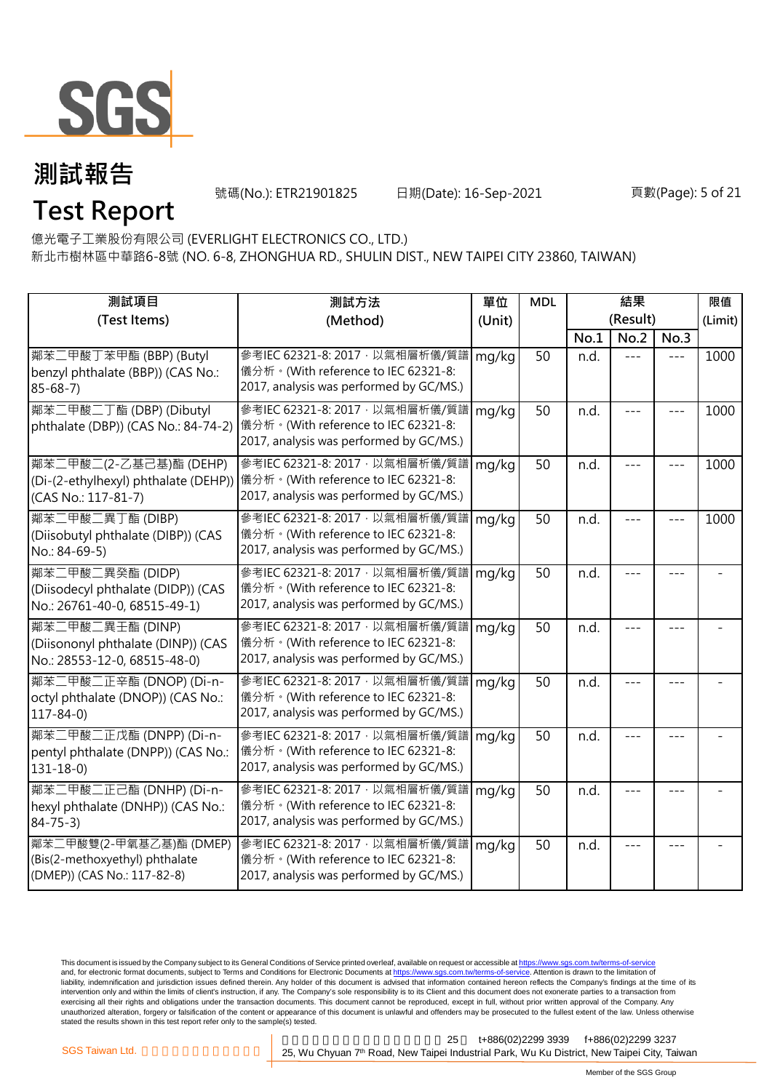

號碼(No.): ETR21901825 日期(Date): 16-Sep-2021 頁數(Page): 5 of 21

### **Test Report**

億光電子工業股份有限公司 (EVERLIGHT ELECTRONICS CO., LTD.)

新北市樹林區中華路6-8號 (NO. 6-8, ZHONGHUA RD., SHULIN DIST., NEW TAIPEI CITY 23860, TAIWAN)

| 測試項目                                                                                     | 測試方法                                                                                                                                                   | 單位     | <b>MDL</b> | 結果       |         |         | 限值      |
|------------------------------------------------------------------------------------------|--------------------------------------------------------------------------------------------------------------------------------------------------------|--------|------------|----------|---------|---------|---------|
| (Test Items)                                                                             | (Method)                                                                                                                                               | (Unit) |            | (Result) |         |         | (Limit) |
|                                                                                          |                                                                                                                                                        |        |            | No.1     | No.2    | No.3    |         |
| 鄰苯二甲酸丁苯甲酯 (BBP) (Butyl<br>benzyl phthalate (BBP)) (CAS No.:<br>$85 - 68 - 7$             | 參考IEC 62321-8: 2017, 以氣相層析儀/質譜<br>儀分析。(With reference to IEC 62321-8:<br>2017, analysis was performed by GC/MS.)                                       | mg/kg  | 50         | n.d.     | $= -$   | $---$   | 1000    |
| 鄰苯二甲酸二丁酯 (DBP) (Dibutyl<br>phthalate (DBP)) (CAS No.: 84-74-2)                           | 參考IEC 62321-8: 2017, 以氣相層析儀/質譜<br>儀分析。(With reference to IEC 62321-8:<br>2017, analysis was performed by GC/MS.)                                       | mg/kg  | 50         | n.d.     |         |         | 1000    |
| 鄰苯二甲酸二(2-乙基己基)酯 (DEHP)<br>(CAS No.: 117-81-7)                                            | 參考IEC 62321-8: 2017 · 以氣相層析儀/質譜<br>(Di-(2-ethylhexyl) phthalate (DEHP)) 儀分析。(With reference to IEC 62321-8:<br>2017, analysis was performed by GC/MS.) | mg/kg  | 50         | n.d.     |         |         | 1000    |
| 鄰苯二甲酸二異丁酯 (DIBP)<br>(Diisobutyl phthalate (DIBP)) (CAS<br>No.: 84-69-5)                  | 參考IEC 62321-8: 2017, 以氣相層析儀/質譜<br>儀分析。(With reference to IEC 62321-8:<br>2017, analysis was performed by GC/MS.)                                       | mg/kg  | 50         | n.d.     | $- - -$ |         | 1000    |
| 鄰苯二甲酸二異癸酯 (DIDP)<br>(Diisodecyl phthalate (DIDP)) (CAS<br>No.: 26761-40-0, 68515-49-1)   | 參考IEC 62321-8: 2017, 以氣相層析儀/質譜<br>儀分析。(With reference to IEC 62321-8:<br>2017, analysis was performed by GC/MS.)                                       | mg/kg  | 50         | n.d.     | ---     |         |         |
| 鄰苯二甲酸二異壬酯 (DINP)<br>(Diisononyl phthalate (DINP)) (CAS<br>No.: 28553-12-0, 68515-48-0)   | 參考IEC 62321-8: 2017, 以氣相層析儀/質譜<br>儀分析。(With reference to IEC 62321-8:<br>2017, analysis was performed by GC/MS.)                                       | mg/kg  | 50         | n.d.     |         |         |         |
| 鄰苯二甲酸二正辛酯 (DNOP) (Di-n-<br>octyl phthalate (DNOP)) (CAS No.:<br>$117 - 84 - 0$           | 參考IEC 62321-8: 2017, 以氣相層析儀/質譜<br>儀分析。(With reference to IEC 62321-8:<br>2017, analysis was performed by GC/MS.)                                       | mg/kg  | 50         | n.d.     |         |         |         |
| 鄰苯二甲酸二正戊酯 (DNPP) (Di-n-<br>pentyl phthalate (DNPP)) (CAS No.:<br>$131 - 18 - 0$          | 參考IEC 62321-8: 2017, 以氣相層析儀/質譜<br>儀分析。(With reference to IEC 62321-8:<br>2017, analysis was performed by GC/MS.)                                       | mg/kg  | 50         | n.d.     |         | $- - -$ |         |
| 鄰苯二甲酸二正己酯 (DNHP) (Di-n-<br>hexyl phthalate (DNHP)) (CAS No.:<br>$84 - 75 - 3$            | 參考IEC 62321-8: 2017, 以氣相層析儀/質譜<br>儀分析。(With reference to IEC 62321-8:<br>2017, analysis was performed by GC/MS.)                                       | mg/kg  | 50         | n.d.     |         |         |         |
| 鄰苯二甲酸雙(2-甲氧基乙基)酯 (DMEP)<br>(Bis(2-methoxyethyl) phthalate<br>(DMEP)) (CAS No.: 117-82-8) | 參考IEC 62321-8: 2017, 以氣相層析儀/質譜<br>儀分析。(With reference to IEC 62321-8:<br>2017, analysis was performed by GC/MS.)                                       | mg/kg  | 50         | n.d.     |         |         |         |

This document is issued by the Company subject to its General Conditions of Service printed overleaf, available on request or accessible at <u>https://www.sgs.com.tw/terms-of-service</u><br>and, for electronic format documents, su liability, indemnification and jurisdiction issues defined therein. Any holder of this document is advised that information contained hereon reflects the Company's findings at the time of its intervention only and within the limits of client's instruction, if any. The Company's sole responsibility is to its Client and this document does not exonerate parties to a transaction from exercising all their rights and obligations under the transaction documents. This document cannot be reproduced, except in full, without prior written approval of the Company. Any<br>unauthorized alteration, forgery or falsif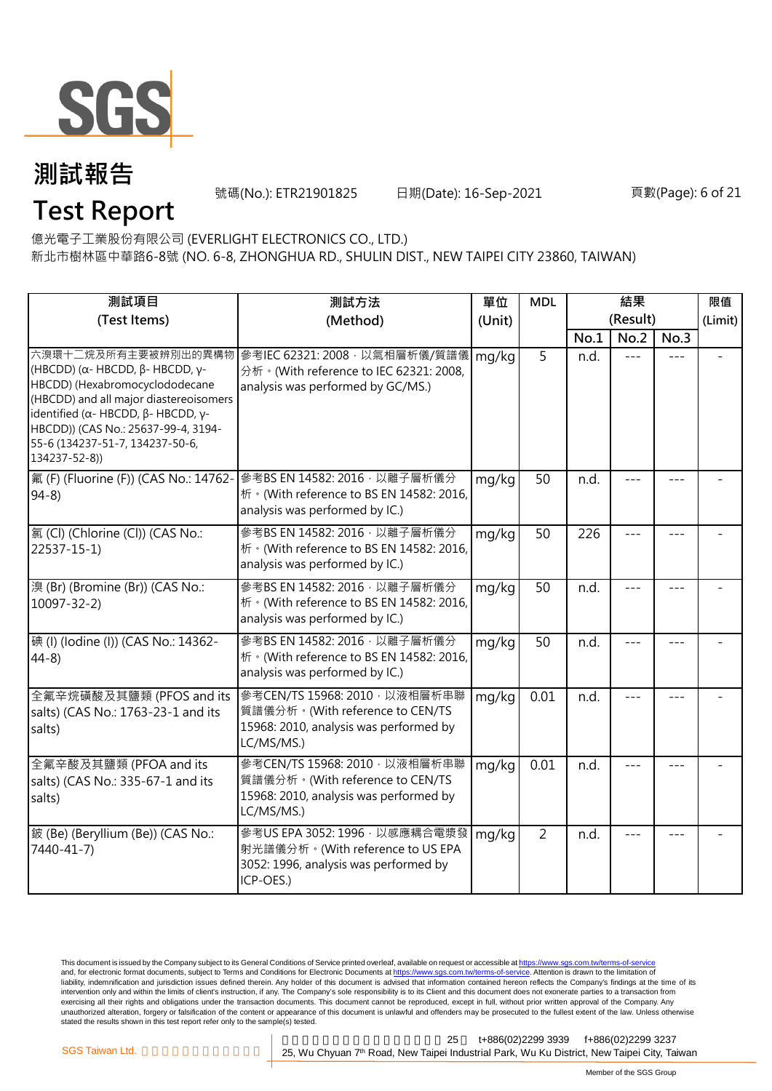

**Test Report**

號碼(No.): ETR21901825 日期(Date): 16-Sep-2021 頁數(Page): 6 of 21

億光電子工業股份有限公司 (EVERLIGHT ELECTRONICS CO., LTD.)

新北市樹林區中華路6-8號 (NO. 6-8, ZHONGHUA RD., SHULIN DIST., NEW TAIPEI CITY 23860, TAIWAN)

| 測試項目                                                                                                                                                                                                                                                                                | 測試方法                                                                                                                      | 單位     | <b>MDL</b>     | 結果       |      |       | 限值      |
|-------------------------------------------------------------------------------------------------------------------------------------------------------------------------------------------------------------------------------------------------------------------------------------|---------------------------------------------------------------------------------------------------------------------------|--------|----------------|----------|------|-------|---------|
| (Test Items)                                                                                                                                                                                                                                                                        | (Method)                                                                                                                  | (Unit) |                | (Result) |      |       | (Limit) |
|                                                                                                                                                                                                                                                                                     |                                                                                                                           |        |                | No.1     | No.2 | No.3  |         |
| 六溴環十二烷及所有主要被辨別出的異構物<br>(HBCDD) ( $\alpha$ - HBCDD, $\beta$ - HBCDD, γ-<br>HBCDD) (Hexabromocyclododecane<br>(HBCDD) and all major diastereoisomers<br>identified (α- HBCDD, β- HBCDD, γ-<br>HBCDD)) (CAS No.: 25637-99-4, 3194-<br>55-6 (134237-51-7, 134237-50-6,<br>134237-52-8)) | 參考IEC 62321: 2008, 以氣相層析儀/質譜儀<br>分析 · (With reference to IEC 62321: 2008,<br>analysis was performed by GC/MS.)            | mg/kg  | 5              | n.d.     |      |       |         |
| 氟 (F) (Fluorine (F)) (CAS No.: 14762-<br>$94-8$                                                                                                                                                                                                                                     | 參考BS EN 14582: 2016 · 以離子層析儀分<br>析 · (With reference to BS EN 14582: 2016,<br>analysis was performed by IC.)              | mg/kg  | 50             | n.d.     |      |       |         |
| 氯(Cl) (Chlorine (Cl)) (CAS No.:<br>22537-15-1)                                                                                                                                                                                                                                      | 參考BS EN 14582: 2016 · 以離子層析儀分<br>析 · (With reference to BS EN 14582: 2016,<br>analysis was performed by IC.)              | mg/kg  | 50             | 226      |      |       |         |
| 溴 (Br) (Bromine (Br)) (CAS No.:<br>$10097 - 32 - 2$                                                                                                                                                                                                                                 | 參考BS EN 14582: 2016 · 以離子層析儀分<br>析 · (With reference to BS EN 14582: 2016,<br>analysis was performed by IC.)              | mg/kg  | 50             | n.d.     |      |       |         |
| 碘 (I) (Iodine (I)) (CAS No.: 14362-<br>$44-8$                                                                                                                                                                                                                                       | 參考BS EN 14582: 2016 · 以離子層析儀分<br>析 · (With reference to BS EN 14582: 2016,<br>analysis was performed by IC.)              | mg/kg  | 50             | n.d.     | ---  | $---$ |         |
| 全氟辛烷磺酸及其鹽類 (PFOS and its<br>salts) (CAS No.: 1763-23-1 and its<br>salts)                                                                                                                                                                                                            | 參考CEN/TS 15968: 2010 · 以液相層析串聯<br>質譜儀分析。(With reference to CEN/TS<br>15968: 2010, analysis was performed by<br>LC/MS/MS.) | mg/kg  | 0.01           | n.d.     |      |       |         |
| 全氟辛酸及其鹽類 (PFOA and its<br>salts) (CAS No.: 335-67-1 and its<br>salts)                                                                                                                                                                                                               | 參考CEN/TS 15968: 2010, 以液相層析串聯<br>質譜儀分析。(With reference to CEN/TS<br>15968: 2010, analysis was performed by<br>LC/MS/MS.)  | mg/kg  | 0.01           | n.d.     |      |       |         |
| 鈹 (Be) (Beryllium (Be)) (CAS No.:<br>7440-41-7)                                                                                                                                                                                                                                     | 參考US EPA 3052: 1996, 以感應耦合電漿發<br>射光譜儀分析。(With reference to US EPA<br>3052: 1996, analysis was performed by<br>ICP-OES.)   | mg/kg  | $\overline{2}$ | n.d.     |      |       |         |

This document is issued by the Company subject to its General Conditions of Service printed overleaf, available on request or accessible at <u>https://www.sgs.com.tw/terms-of-service</u><br>and, for electronic format documents, su liability, indemnification and jurisdiction issues defined therein. Any holder of this document is advised that information contained hereon reflects the Company's findings at the time of its intervention only and within the limits of client's instruction, if any. The Company's sole responsibility is to its Client and this document does not exonerate parties to a transaction from exercising all their rights and obligations under the transaction documents. This document cannot be reproduced, except in full, without prior written approval of the Company. Any<br>unauthorized alteration, forgery or falsif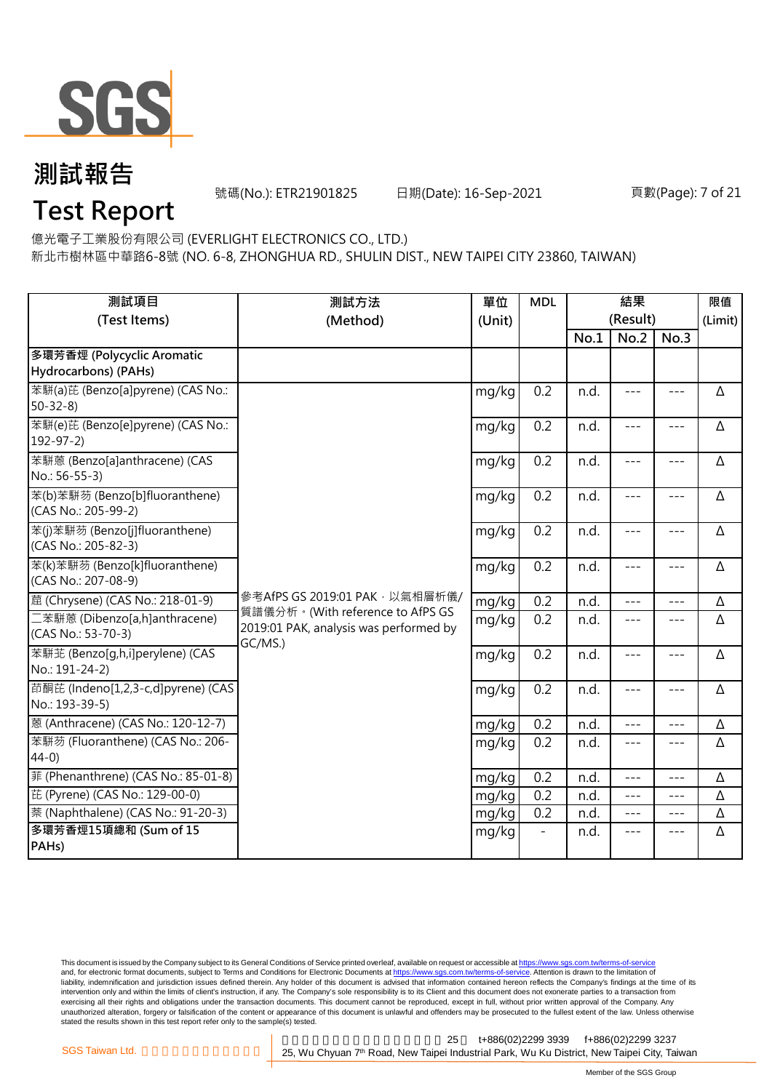

號碼(No.): ETR21901825 日期(Date): 16-Sep-2021 頁數(Page): 7 of 21

**Test Report**

億光電子工業股份有限公司 (EVERLIGHT ELECTRONICS CO., LTD.)

新北市樹林區中華路6-8號 (NO. 6-8, ZHONGHUA RD., SHULIN DIST., NEW TAIPEI CITY 23860, TAIWAN)

| 測試項目                                                  | 測試方法                                                                                  | 單位<br>(Unit) | <b>MDL</b> | 結果   |                  |               | 限值       |
|-------------------------------------------------------|---------------------------------------------------------------------------------------|--------------|------------|------|------------------|---------------|----------|
| (Test Items)                                          | (Method)                                                                              |              |            | No.1 | (Result)<br>No.2 | No.3          | (Limit)  |
| 多環芳香烴 (Polycyclic Aromatic                            |                                                                                       |              |            |      |                  |               |          |
| Hydrocarbons) (PAHs)                                  |                                                                                       |              |            |      |                  |               |          |
| 苯駢(a)芘 (Benzo[a]pyrene) (CAS No.:<br>$50 - 32 - 8$    |                                                                                       | mg/kg        | 0.2        | n.d. | $---$            | $\frac{1}{2}$ | Δ        |
| 苯駢(e)芘 (Benzo[e]pyrene) (CAS No.:<br>$192 - 97 - 2$   |                                                                                       | mg/kg        | 0.2        | n.d. | $---$            | $---$         | Δ        |
| 苯駢蒽 (Benzo[a]anthracene) (CAS<br>No.: 56-55-3)        |                                                                                       | mg/kg        | 0.2        | n.d. | $---$            | $---$         | Δ        |
| 苯(b)苯駢芴 (Benzo[b]fluoranthene)<br>(CAS No.: 205-99-2) |                                                                                       | mg/kg        | 0.2        | n.d. | $---$            | $---$         | Δ        |
| 苯(j)苯駢芴 (Benzo[j]fluoranthene)<br>(CAS No.: 205-82-3) |                                                                                       | mg/kg        | 0.2        | n.d. | $---$            | $---$         | Δ        |
| 苯(k)苯駢芴 (Benzo[k]fluoranthene)<br>(CAS No.: 207-08-9) |                                                                                       | mg/kg        | 0.2        | n.d. | $---$            | $---$         | Δ        |
| 蔰 (Chrysene) (CAS No.: 218-01-9)                      | 參考AfPS GS 2019:01 PAK, 以氣相層析儀/                                                        | mg/kg        | 0.2        | n.d. | $- - -$          | $---$         | Δ        |
| 二苯駢蒽 (Dibenzo[a,h]anthracene)<br>(CAS No.: 53-70-3)   | 質譜儀分析。(With reference to AfPS GS<br>2019:01 PAK, analysis was performed by<br>GC/MS.) | mg/kg        | 0.2        | n.d. | $---$            | $---$         | Δ        |
| 苯駢苙 (Benzo[q,h,i]perylene) (CAS<br>No.: 191-24-2)     |                                                                                       | mg/kg        | 0.2        | n.d. | $---$            | $---$         | Δ        |
| 茚酮芘 (Indeno[1,2,3-c,d]pyrene) (CAS<br>No.: 193-39-5)  |                                                                                       | mg/kg        | 0.2        | n.d. | $---$            | $- - -$       | Δ        |
| 蒽 (Anthracene) (CAS No.: 120-12-7)                    |                                                                                       | mg/kg        | 0.2        | n.d. | ---              | ---           | $\Delta$ |
| 苯駢芴 (Fluoranthene) (CAS No.: 206-<br>$44-0)$          |                                                                                       | mg/kg        | 0.2        | n.d. | $- - -$          | $---$         | Δ        |
| 菲 (Phenanthrene) (CAS No.: 85-01-8)                   |                                                                                       | mg/kg        | 0.2        | n.d. | $---$            | $---$         | Δ        |
| 芘 (Pyrene) (CAS No.: 129-00-0)                        |                                                                                       | mg/kg        | 0.2        | n.d. | $- - -$          | $---$         | Δ        |
| 萘 (Naphthalene) (CAS No.: 91-20-3)                    |                                                                                       | mg/kg        | 0.2        | n.d. | $---$            | $---$         | Δ        |
| 多環芳香烴15項總和 (Sum of 15<br>PAH <sub>s</sub> )           |                                                                                       | mg/kg        |            | n.d. | ---              | $- - -$       | Δ        |

This document is issued by the Company subject to its General Conditions of Service printed overleaf, available on request or accessible at <u>https://www.sgs.com.tw/terms-of-service</u><br>and, for electronic format documents, su liability, indemnification and jurisdiction issues defined therein. Any holder of this document is advised that information contained hereon reflects the Company's findings at the time of its intervention only and within the limits of client's instruction, if any. The Company's sole responsibility is to its Client and this document does not exonerate parties to a transaction from exercising all their rights and obligations under the transaction documents. This document cannot be reproduced, except in full, without prior written approval of the Company. Any<br>unauthorized alteration, forgery or falsif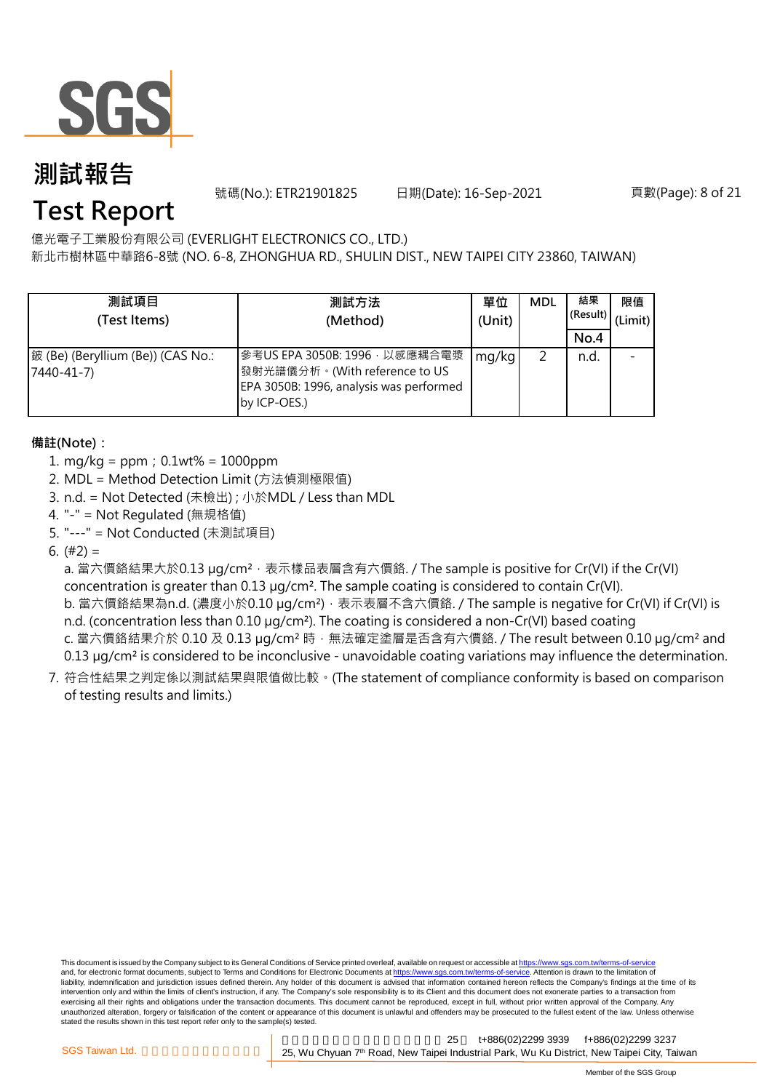

號碼(No.): ETR21901825 日期(Date): 16-Sep-2021 頁數(Page): 8 of 21

### **Test Report**

億光電子工業股份有限公司 (EVERLIGHT ELECTRONICS CO., LTD.)

新北市樹林區中華路6-8號 (NO. 6-8, ZHONGHUA RD., SHULIN DIST., NEW TAIPEI CITY 23860, TAIWAN)

| 測試項目<br>(Test Items)                            | 測試方法<br>(Method)                                                                                                          | 單位<br>(Unit) | <b>MDL</b> | 結果<br>(Result)<br>No.4 | 限值<br>(Limit) |
|-------------------------------------------------|---------------------------------------------------------------------------------------------------------------------------|--------------|------------|------------------------|---------------|
| 鈹 (Be) (Beryllium (Be)) (CAS No.:<br>7440-41-7) | 參考US EPA 3050B: 1996, 以感應耦合電漿<br>發射光譜儀分析。(With reference to US<br>EPA 3050B: 1996, analysis was performed<br>by ICP-OES.) | mg/kg        |            | n.d.                   |               |

#### **備註(Note):**

- 1. mg/kg = ppm;0.1wt% = 1000ppm
- 2. MDL = Method Detection Limit (方法偵測極限值)
- 3. n.d. = Not Detected (未檢出) ; 小於MDL / Less than MDL
- 4. "-" = Not Regulated (無規格值)
- 5. "---" = Not Conducted (未測試項目)

6.  $(#2) =$ 

a. 當六價鉻結果大於0.13 µg/cm<sup>2,</sup> 表示樣品表層含有六價鉻. / The sample is positive for Cr(VI) if the Cr(VI) concentration is greater than 0.13 µg/cm². The sample coating is considered to contain Cr(VI).

b. 當六價鉻結果為n.d. (濃度小於0.10 μg/cm²),表示表層不含六價鉻. / The sample is negative for Cr(VI) if Cr(VI) is n.d. (concentration less than 0.10 µg/cm<sup>2</sup>). The coating is considered a non-Cr(VI) based coating c. 當六價鉻結果介於 0.10 及 0.13 µg/cm<sup>2</sup> 時, 無法確定塗層是否含有六價鉻. / The result between 0.10 µg/cm<sup>2</sup> and

0.13 µg/cm<sup>2</sup> is considered to be inconclusive - unavoidable coating variations may influence the determination.

7. 符合性結果之判定係以測試結果與限值做比較。(The statement of compliance conformity is based on comparison of testing results and limits.)

This document is issued by the Company subject to its General Conditions of Service printed overleaf, available on request or accessible at https://www.sgs.com.tw/terms-of-service and, for electronic format documents, subject to Terms and Conditions for Electronic Documents at https://www.sgs.com.tw/terms-of-service. Attention is drawn to the limitation of liability, indemnification and jurisdiction issues defined therein. Any holder of this document is advised that information contained hereon reflects the Company's findings at the time of its intervention only and within the limits of client's instruction, if any. The Company's sole responsibility is to its Client and this document does not exonerate parties to a transaction from exercising all their rights and obligations under the transaction documents. This document cannot be reproduced, except in full, without prior written approval of the Company. Any<br>unauthorized alteration, forgery or falsif stated the results shown in this test report refer only to the sample(s) tested.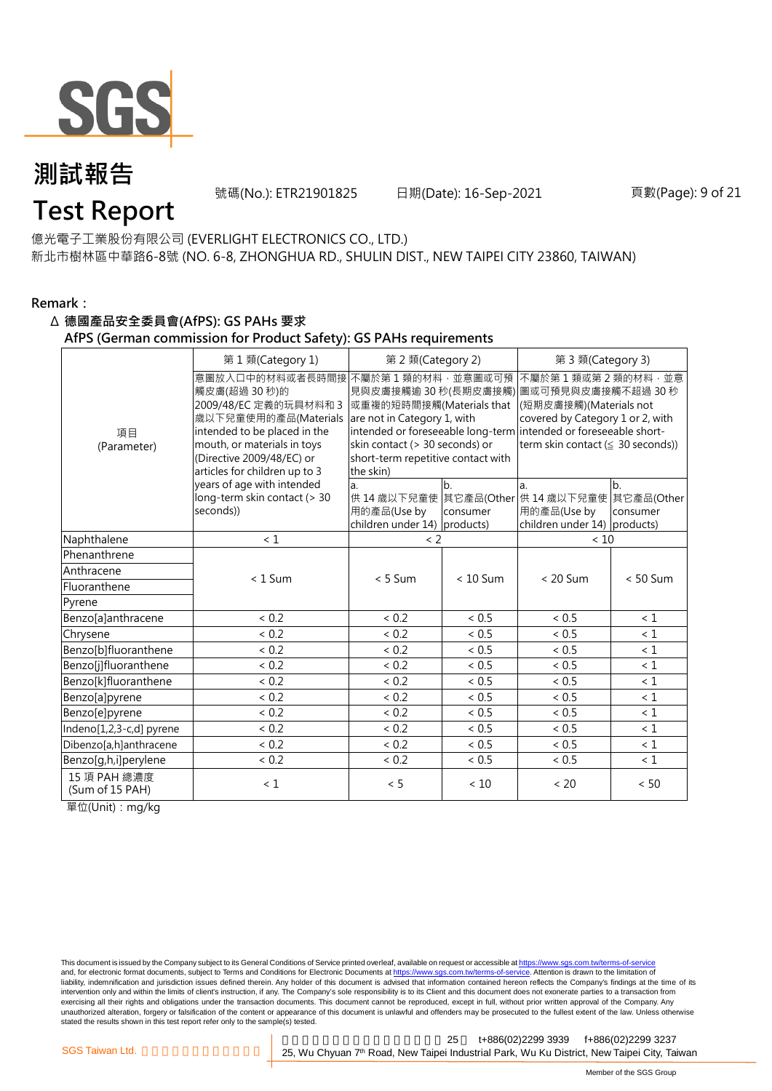

號碼(No.): ETR21901825 日期(Date): 16-Sep-2021 頁數(Page): 9 of 21

### **Test Report**

億光電子工業股份有限公司 (EVERLIGHT ELECTRONICS CO., LTD.) 新北市樹林區中華路6-8號 (NO. 6-8, ZHONGHUA RD., SHULIN DIST., NEW TAIPEI CITY 23860, TAIWAN)

#### **Remark:**

#### Δ **德國產品安全委員會(AfPS): GS PAHs 要求**

**AfPS (German commission for Product Safety): GS PAHs requirements**

|                                 | 第1類(Category 1)                                                                                                                                                                                               | 第 2 類(Category 2)                                                                                                                                                |                | 第 3 類(Category 3)                                                                                                                                                                                                                        |                              |  |  |
|---------------------------------|---------------------------------------------------------------------------------------------------------------------------------------------------------------------------------------------------------------|------------------------------------------------------------------------------------------------------------------------------------------------------------------|----------------|------------------------------------------------------------------------------------------------------------------------------------------------------------------------------------------------------------------------------------------|------------------------------|--|--|
| 項目<br>(Parameter)               | 意圖放入口中的材料或者長時間接<br>觸皮膚(超過 30秒)的<br>2009/48/EC 定義的玩具材料和 3<br>歳以下兒童使用的產品(Materials<br>intended to be placed in the<br>mouth, or materials in toys<br>(Directive 2009/48/EC) or<br>articles for children up to 3 | 不屬於第1類的材料,並意圖或可預<br>或重複的短時間接觸(Materials that<br>are not in Category 1, with<br>skin contact (> 30 seconds) or<br>short-term repetitive contact with<br>the skin) |                | 不屬於第1類或第2類的材料,並意<br>見與皮膚接觸逾 30 秒(長期皮膚接觸) 圖或可預見與皮膚接觸不超過 30 秒<br>(短期皮膚接觸)(Materials not<br>covered by Category 1 or 2, with<br>intended or foreseeable long-term intended or foreseeable short-<br>term skin contact $( \leq 30$ seconds)) |                              |  |  |
|                                 | years of age with intended<br>long-term skin contact (> 30<br>seconds))                                                                                                                                       | a.<br>用的產品(Use by<br>children under 14) products)                                                                                                                | b.<br>consumer | la.<br>供 14 歳以下兒童使 其它產品(Other 供 14 歳以下兒童使<br>用的產品(Use by<br>children under 14) products)                                                                                                                                                 | b.<br>其它產品(Other<br>consumer |  |  |
| Naphthalene                     | < 1                                                                                                                                                                                                           | $\langle$ 2                                                                                                                                                      |                | < 10                                                                                                                                                                                                                                     |                              |  |  |
| Phenanthrene                    |                                                                                                                                                                                                               |                                                                                                                                                                  |                |                                                                                                                                                                                                                                          |                              |  |  |
| Anthracene                      | $< 1$ Sum                                                                                                                                                                                                     | $< 5$ Sum                                                                                                                                                        | $< 10$ Sum     | $< 20$ Sum                                                                                                                                                                                                                               | $< 50$ Sum                   |  |  |
| Fluoranthene                    |                                                                                                                                                                                                               |                                                                                                                                                                  |                |                                                                                                                                                                                                                                          |                              |  |  |
| Pyrene                          |                                                                                                                                                                                                               |                                                                                                                                                                  |                |                                                                                                                                                                                                                                          |                              |  |  |
| Benzo[a]anthracene              | ${}< 0.2$                                                                                                                                                                                                     | < 0.2                                                                                                                                                            | < 0.5          | < 0.5                                                                                                                                                                                                                                    | < 1                          |  |  |
| Chrysene                        | < 0.2                                                                                                                                                                                                         | < 0.2                                                                                                                                                            | < 0.5          | < 0.5                                                                                                                                                                                                                                    | $\leq 1$                     |  |  |
| Benzo[b]fluoranthene            | < 0.2                                                                                                                                                                                                         | < 0.2                                                                                                                                                            | < 0.5          | ${}< 0.5$                                                                                                                                                                                                                                | $\leq 1$                     |  |  |
| Benzo[j]fluoranthene            | < 0.2                                                                                                                                                                                                         | < 0.2                                                                                                                                                            | < 0.5          | < 0.5                                                                                                                                                                                                                                    | < 1                          |  |  |
| Benzo[k]fluoranthene            | < 0.2                                                                                                                                                                                                         | < 0.2                                                                                                                                                            | ~< 0.5         | < 0.5                                                                                                                                                                                                                                    | $\leq 1$                     |  |  |
| Benzo[a]pyrene                  | < 0.2                                                                                                                                                                                                         | < 0.2                                                                                                                                                            | < 0.5          | < 0.5                                                                                                                                                                                                                                    | $\leq 1$                     |  |  |
| Benzo[e]pyrene                  | < 0.2                                                                                                                                                                                                         | < 0.2                                                                                                                                                            | < 0.5          | ${}< 0.5$                                                                                                                                                                                                                                | $\leq 1$                     |  |  |
| Indeno[1,2,3-c,d] pyrene        | < 0.2                                                                                                                                                                                                         | < 0.2                                                                                                                                                            | < 0.5          | < 0.5                                                                                                                                                                                                                                    | $\leq 1$                     |  |  |
| Dibenzo[a,h]anthracene          | < 0.2                                                                                                                                                                                                         | < 0.2                                                                                                                                                            | ~< 0.5         | < 0.5                                                                                                                                                                                                                                    | $\leq 1$                     |  |  |
| Benzo[g,h,i]perylene            | < 0.2                                                                                                                                                                                                         | < 0.2                                                                                                                                                            | ${}< 0.5$      | ${}< 0.5$                                                                                                                                                                                                                                | $\leq 1$                     |  |  |
| 15 項 PAH 總濃度<br>(Sum of 15 PAH) | $\leq 1$                                                                                                                                                                                                      | < 5                                                                                                                                                              | < 10           | < 20                                                                                                                                                                                                                                     | < 50                         |  |  |

單位(Unit):mg/kg

This document is issued by the Company subject to its General Conditions of Service printed overleaf, available on request or accessible at https://www.sgs.com.tw/terms-of-service and, for electronic format documents, subject to Terms and Conditions for Electronic Documents at https://www.sgs.com.tw/terms-of-service. Attention is drawn to the limitation of liability, indemnification and jurisdiction issues defined therein. Any holder of this document is advised that information contained hereon reflects the Company's findings at the time of its intervention only and within the limits of client's instruction, if any. The Company's sole responsibility is to its Client and this document does not exonerate parties to a transaction from exercising all their rights and obligations under the transaction documents. This document cannot be reproduced, except in full, without prior written approval of the Company. Any<br>unauthorized alteration, forgery or falsif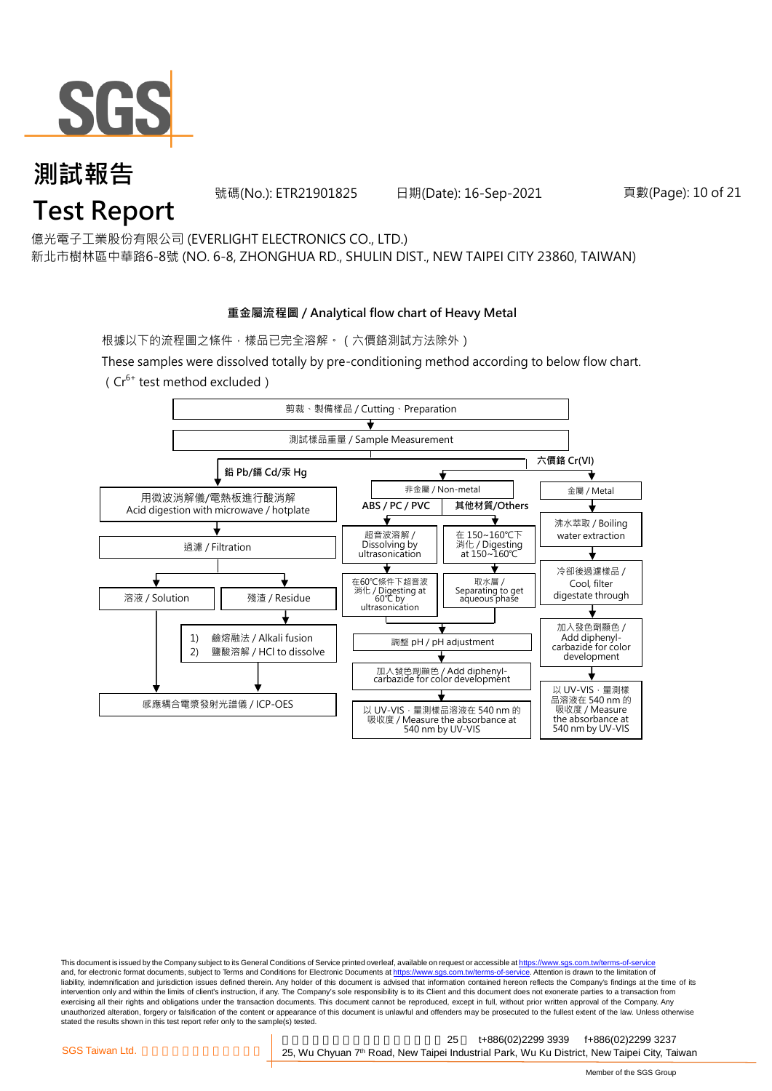

號碼(No.): ETR21901825 日期(Date): 16-Sep-2021 頁數(Page): 10 of 21

億光電子工業股份有限公司 (EVERLIGHT ELECTRONICS CO., LTD.)

新北市樹林區中華路6-8號 (NO. 6-8, ZHONGHUA RD., SHULIN DIST., NEW TAIPEI CITY 23860, TAIWAN)

#### **重金屬流程圖 / Analytical flow chart of Heavy Metal**

根據以下的流程圖之條件,樣品已完全溶解。(六價鉻測試方法除外)

These samples were dissolved totally by pre-conditioning method according to below flow chart.  $(Cr^{6+}$  test method excluded)



This document is issued by the Company subject to its General Conditions of Service printed overleaf, available on request or accessible at https://www.sgs.com.tw/terms-of-service and, for electronic format documents, subject to Terms and Conditions for Electronic Documents at https://www.sgs.com.tw/terms-of-service. Attention is drawn to the limitation of liability, indemnification and jurisdiction issues defined therein. Any holder of this document is advised that information contained hereon reflects the Company's findings at the time of its intervention only and within the limits of client's instruction, if any. The Company's sole responsibility is to its Client and this document does not exonerate parties to a transaction from exercising all their rights and obligations under the transaction documents. This document cannot be reproduced, except in full, without prior written approval of the Company. Any<br>unauthorized alteration, forgery or falsif stated the results shown in this test report refer only to the sample(s) tested.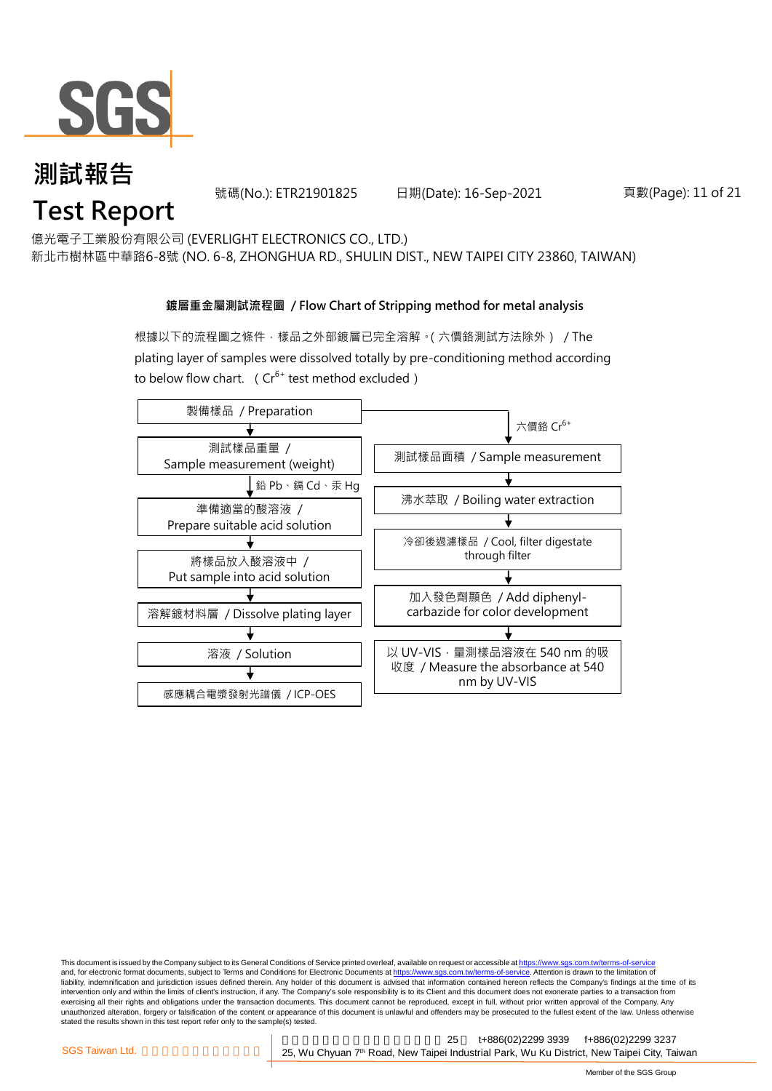

號碼(No.): ETR21901825 日期(Date): 16-Sep-2021 頁數(Page): 11 of 21

億光電子工業股份有限公司 (EVERLIGHT ELECTRONICS CO., LTD.)

新北市樹林區中華路6-8號 (NO. 6-8, ZHONGHUA RD., SHULIN DIST., NEW TAIPEI CITY 23860, TAIWAN)

#### **鍍層重金屬測試流程圖 / Flow Chart of Stripping method for metal analysis**

根據以下的流程圖之條件,樣品之外部鍍層已完全溶解。(六價鉻測試方法除外) / The plating layer of samples were dissolved totally by pre-conditioning method according to below flow chart. ( $Cr^{6+}$  test method excluded)



This document is issued by the Company subject to its General Conditions of Service printed overleaf, available on request or accessible at https://www.sgs.com.tw/terms-of-service and, for electronic format documents, subject to Terms and Conditions for Electronic Documents at https://www.sgs.com.tw/terms-of-service. Attention is drawn to the limitation of liability, indemnification and jurisdiction issues defined therein. Any holder of this document is advised that information contained hereon reflects the Company's findings at the time of its intervention only and within the limits of client's instruction, if any. The Company's sole responsibility is to its Client and this document does not exonerate parties to a transaction from exercising all their rights and obligations under the transaction documents. This document cannot be reproduced, except in full, without prior written approval of the Company. Any<br>unauthorized alteration, forgery or falsif stated the results shown in this test report refer only to the sample(s) tested.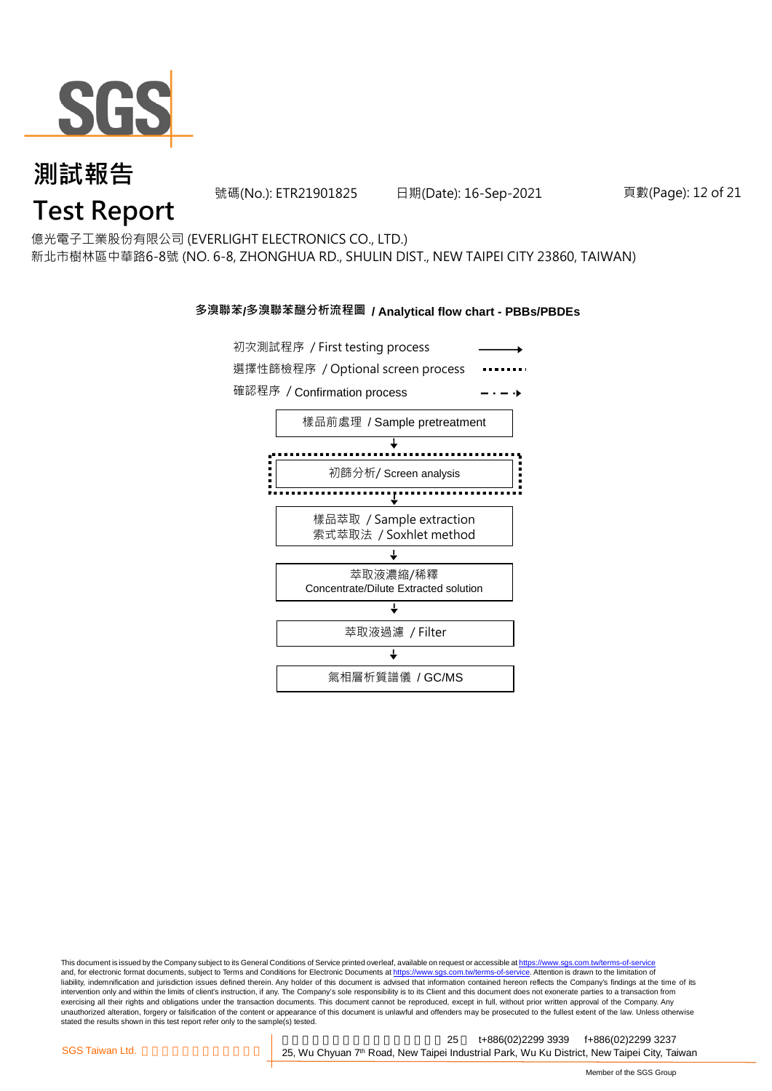

號碼(No.): ETR21901825 日期(Date): 16-Sep-2021 頁數(Page): 12 of 21

### **Test Report**

億光電子工業股份有限公司 (EVERLIGHT ELECTRONICS CO., LTD.) 新北市樹林區中華路6-8號 (NO. 6-8, ZHONGHUA RD., SHULIN DIST., NEW TAIPEI CITY 23860, TAIWAN)

#### **多溴聯苯/多溴聯苯醚分析流程圖 / Analytical flow chart - PBBs/PBDEs**



This document is issued by the Company subject to its General Conditions of Service printed overleaf, available on request or accessible at https://www.sgs.com.tw/terms-of-service and, for electronic format documents, subject to Terms and Conditions for Electronic Documents at https://www.sgs.com.tw/terms-of-service. Attention is drawn to the limitation of liability, indemnification and jurisdiction issues defined therein. Any holder of this document is advised that information contained hereon reflects the Company's findings at the time of its intervention only and within the limits of client's instruction, if any. The Company's sole responsibility is to its Client and this document does not exonerate parties to a transaction from exercising all their rights and obligations under the transaction documents. This document cannot be reproduced, except in full, without prior written approval of the Company. Any<br>unauthorized alteration, forgery or falsif stated the results shown in this test report refer only to the sample(s) tested.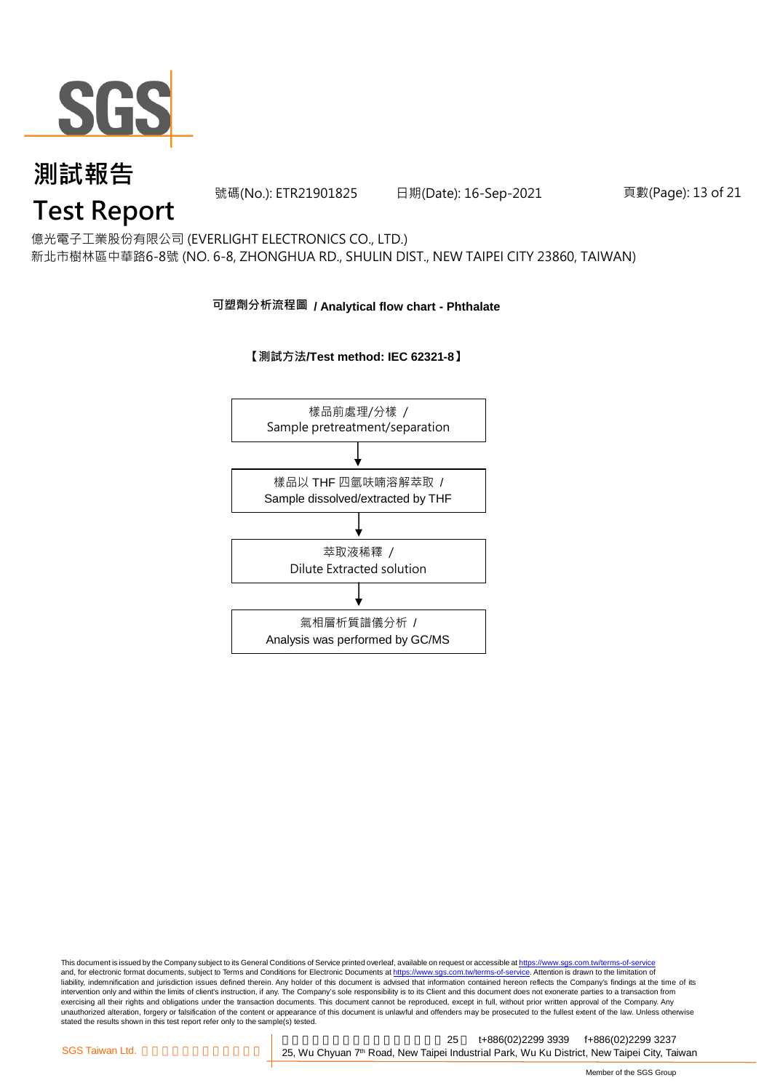

號碼(No.): ETR21901825 日期(Date): 16-Sep-2021 頁數(Page): 13 of 21

## **Test Report**

億光電子工業股份有限公司 (EVERLIGHT ELECTRONICS CO., LTD.) 新北市樹林區中華路6-8號 (NO. 6-8, ZHONGHUA RD., SHULIN DIST., NEW TAIPEI CITY 23860, TAIWAN)

#### **可塑劑分析流程圖 / Analytical flow chart - Phthalate**

#### **【測試方法/Test method: IEC 62321-8】**



This document is issued by the Company subject to its General Conditions of Service printed overleaf, available on request or accessible at <u>https://www.sgs.com.tw/terms-of-service</u><br>and, for electronic format documents, su liability, indemnification and jurisdiction issues defined therein. Any holder of this document is advised that information contained hereon reflects the Company's findings at the time of its intervention only and within the limits of client's instruction, if any. The Company's sole responsibility is to its Client and this document does not exonerate parties to a transaction from exercising all their rights and obligations under the transaction documents. This document cannot be reproduced, except in full, without prior written approval of the Company. Any<br>unauthorized alteration, forgery or falsif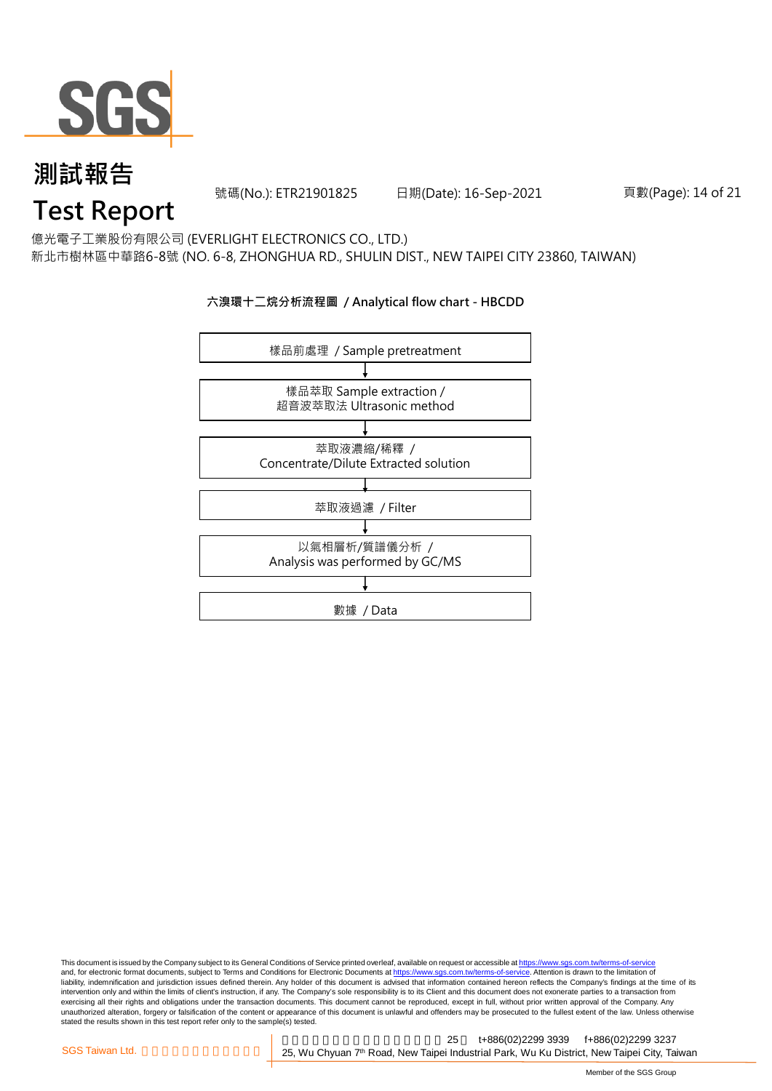

號碼(No.): ETR21901825 日期(Date): 16-Sep-2021 頁數(Page): 14 of 21

### **Test Report**

億光電子工業股份有限公司 (EVERLIGHT ELECTRONICS CO., LTD.) 新北市樹林區中華路6-8號 (NO. 6-8, ZHONGHUA RD., SHULIN DIST., NEW TAIPEI CITY 23860, TAIWAN)

#### **六溴環十二烷分析流程圖 / Analytical flow chart - HBCDD**



This document is issued by the Company subject to its General Conditions of Service printed overleaf, available on request or accessible at <u>https://www.sgs.com.tw/terms-of-service</u><br>and, for electronic format documents, su liability, indemnification and jurisdiction issues defined therein. Any holder of this document is advised that information contained hereon reflects the Company's findings at the time of its intervention only and within the limits of client's instruction, if any. The Company's sole responsibility is to its Client and this document does not exonerate parties to a transaction from exercising all their rights and obligations under the transaction documents. This document cannot be reproduced, except in full, without prior written approval of the Company. Any<br>unauthorized alteration, forgery or falsif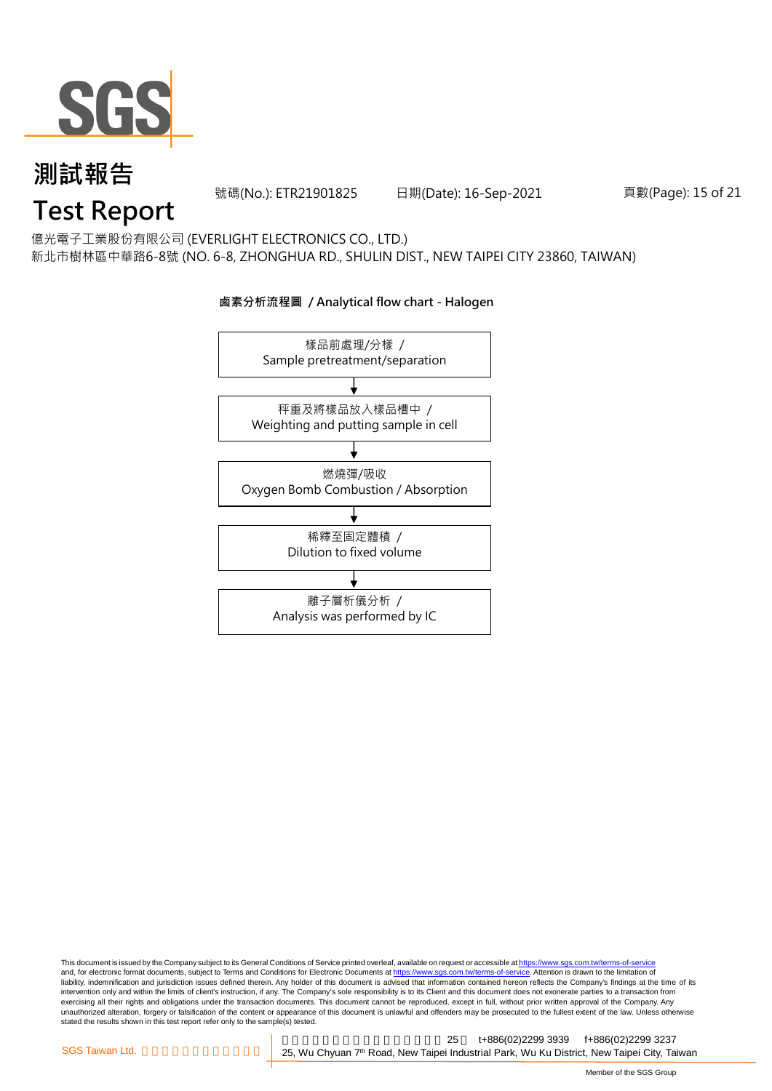

號碼(No.): ETR21901825 日期(Date): 16-Sep-2021 頁數(Page): 15 of 21

## **Test Report**

億光電子工業股份有限公司 (EVERLIGHT ELECTRONICS CO., LTD.) 新北市樹林區中華路6-8號 (NO. 6-8, ZHONGHUA RD., SHULIN DIST., NEW TAIPEI CITY 23860, TAIWAN)

**鹵素分析流程圖 / Analytical flow chart - Halogen**

### 樣品前處理/分樣 / Sample pretreatment/separation 秤重及將樣品放入樣品槽中 / Weighting and putting sample in cell 燃燒彈/吸收 Oxygen Bomb Combustion / Absorption 離子層析儀分析 / Analysis was performed by IC 稀釋至固定體積 / Dilution to fixed volume

This document is issued by the Company subject to its General Conditions of Service printed overleaf, available on request or accessible at <u>https://www.sgs.com.tw/terms-of-service</u><br>and, for electronic format documents, su liability, indemnification and jurisdiction issues defined therein. Any holder of this document is advised that information contained hereon reflects the Company's findings at the time of its intervention only and within the limits of client's instruction, if any. The Company's sole responsibility is to its Client and this document does not exonerate parties to a transaction from exercising all their rights and obligations under the transaction documents. This document cannot be reproduced, except in full, without prior written approval of the Company. Any<br>unauthorized alteration, forgery or falsif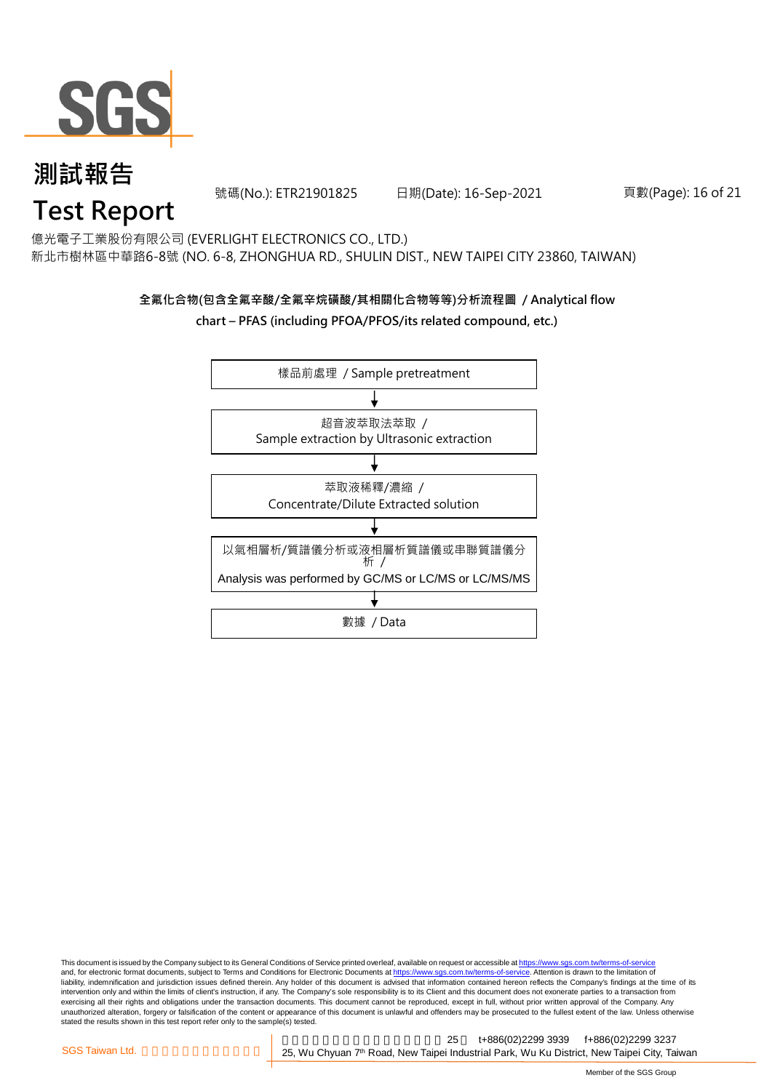

號碼(No.): ETR21901825 日期(Date): 16-Sep-2021 頁數(Page): 16 of 21

## **Test Report**

億光電子工業股份有限公司 (EVERLIGHT ELECTRONICS CO., LTD.) 新北市樹林區中華路6-8號 (NO. 6-8, ZHONGHUA RD., SHULIN DIST., NEW TAIPEI CITY 23860, TAIWAN)

#### **全氟化合物(包含全氟辛酸/全氟辛烷磺酸/其相關化合物等等)分析流程圖 / Analytical flow chart – PFAS (including PFOA/PFOS/its related compound, etc.)**



This document is issued by the Company subject to its General Conditions of Service printed overleaf, available on request or accessible at https://www.sgs.com.tw/terms-of-service and, for electronic format documents, subject to Terms and Conditions for Electronic Documents at https://www.sgs.com.tw/terms-of-service. Attention is drawn to the limitation of liability, indemnification and jurisdiction issues defined therein. Any holder of this document is advised that information contained hereon reflects the Company's findings at the time of its intervention only and within the limits of client's instruction, if any. The Company's sole responsibility is to its Client and this document does not exonerate parties to a transaction from exercising all their rights and obligations under the transaction documents. This document cannot be reproduced, except in full, without prior written approval of the Company. Any<br>unauthorized alteration, forgery or falsif stated the results shown in this test report refer only to the sample(s) tested.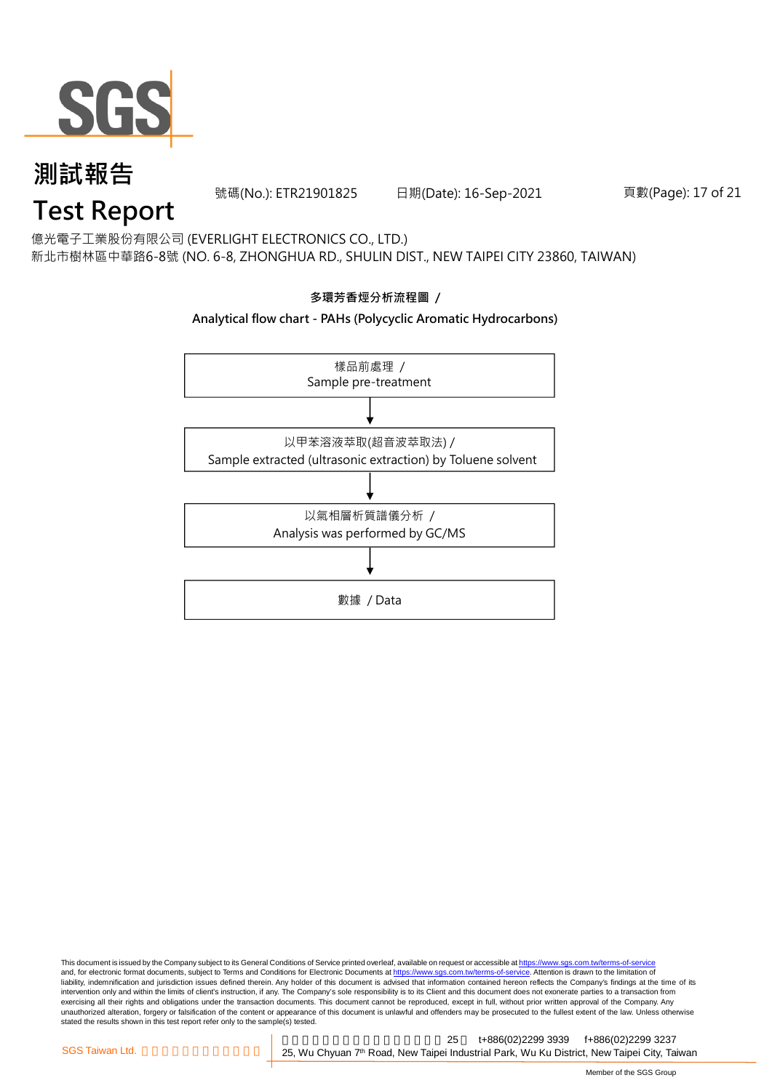

號碼(No.): ETR21901825 日期(Date): 16-Sep-2021 頁數(Page): 17 of 21

## **Test Report**

億光電子工業股份有限公司 (EVERLIGHT ELECTRONICS CO., LTD.) 新北市樹林區中華路6-8號 (NO. 6-8, ZHONGHUA RD., SHULIN DIST., NEW TAIPEI CITY 23860, TAIWAN)



This document is issued by the Company subject to its General Conditions of Service printed overleaf, available on request or accessible at <u>https://www.sgs.com.tw/terms-of-service</u><br>and, for electronic format documents, su liability, indemnification and jurisdiction issues defined therein. Any holder of this document is advised that information contained hereon reflects the Company's findings at the time of its intervention only and within the limits of client's instruction, if any. The Company's sole responsibility is to its Client and this document does not exonerate parties to a transaction from exercising all their rights and obligations under the transaction documents. This document cannot be reproduced, except in full, without prior written approval of the Company. Any<br>unauthorized alteration, forgery or falsif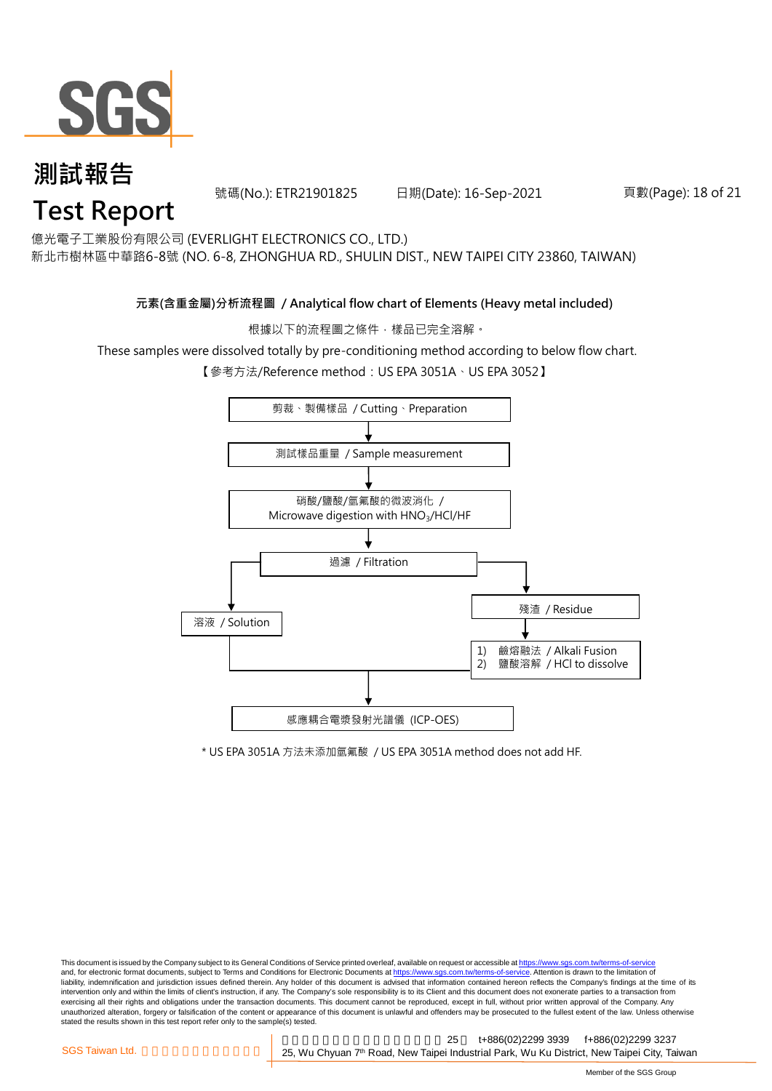

號碼(No.): ETR21901825 日期(Date): 16-Sep-2021 頁數(Page): 18 of 21

億光電子工業股份有限公司 (EVERLIGHT ELECTRONICS CO., LTD.)

新北市樹林區中華路6-8號 (NO. 6-8, ZHONGHUA RD., SHULIN DIST., NEW TAIPEI CITY 23860, TAIWAN)

#### **元素(含重金屬)分析流程圖 / Analytical flow chart of Elements (Heavy metal included)**

根據以下的流程圖之條件,樣品已完全溶解。

These samples were dissolved totally by pre-conditioning method according to below flow chart.

【參考方法/Reference method: US EPA 3051A、US EPA 3052】



\* US EPA 3051A 方法未添加氫氟酸 / US EPA 3051A method does not add HF.

This document is issued by the Company subject to its General Conditions of Service printed overleaf, available on request or accessible at https://www.sgs.com.tw/terms-of-service and, for electronic format documents, subject to Terms and Conditions for Electronic Documents at https://www.sgs.com.tw/terms-of-service. Attention is drawn to the limitation of liability, indemnification and jurisdiction issues defined therein. Any holder of this document is advised that information contained hereon reflects the Company's findings at the time of its intervention only and within the limits of client's instruction, if any. The Company's sole responsibility is to its Client and this document does not exonerate parties to a transaction from exercising all their rights and obligations under the transaction documents. This document cannot be reproduced, except in full, without prior written approval of the Company. Any<br>unauthorized alteration, forgery or falsif stated the results shown in this test report refer only to the sample(s) tested.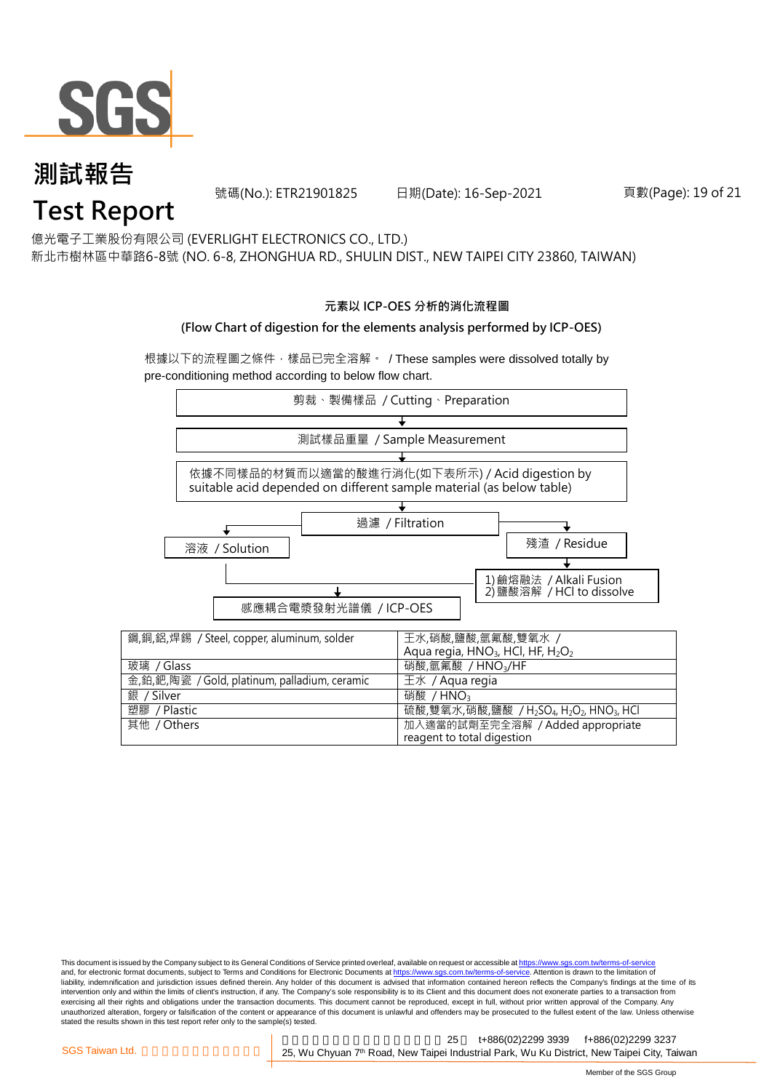

號碼(No.): ETR21901825 日期(Date): 16-Sep-2021 頁數(Page): 19 of 21

億光電子工業股份有限公司 (EVERLIGHT ELECTRONICS CO., LTD.)

新北市樹林區中華路6-8號 (NO. 6-8, ZHONGHUA RD., SHULIN DIST., NEW TAIPEI CITY 23860, TAIWAN)

#### **元素以 ICP-OES 分析的消化流程圖**

#### **(Flow Chart of digestion for the elements analysis performed by ICP-OES)**

根據以下的流程圖之條件,樣品已完全溶解。 / These samples were dissolved totally by pre-conditioning method according to below flow chart.



This document is issued by the Company subject to its General Conditions of Service printed overleaf, available on request or accessible at https://www.sgs.com.tw/terms-of-service and, for electronic format documents, subject to Terms and Conditions for Electronic Documents at https://www.sgs.com.tw/terms-of-service. Attention is drawn to the limitation of liability, indemnification and jurisdiction issues defined therein. Any holder of this document is advised that information contained hereon reflects the Company's findings at the time of its intervention only and within the limits of client's instruction, if any. The Company's sole responsibility is to its Client and this document does not exonerate parties to a transaction from exercising all their rights and obligations under the transaction documents. This document cannot be reproduced, except in full, without prior written approval of the Company. Any<br>unauthorized alteration, forgery or falsif stated the results shown in this test report refer only to the sample(s) tested.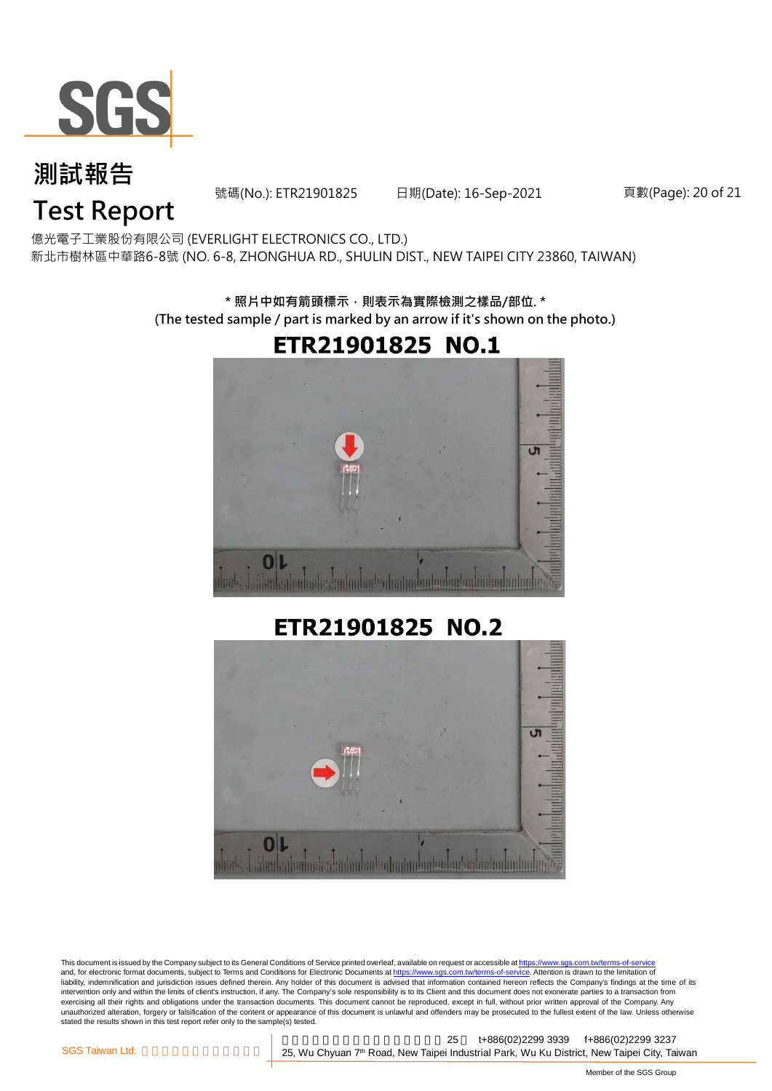

號碼(No.): ETR21901825 日期(Date): 16-Sep-2021 頁數(Page): 20 of 21

## **Test Report**

億光電子工業股份有限公司 (EVERLIGHT ELECTRONICS CO., LTD.) 新北市樹林區中華路6-8號 (NO. 6-8, ZHONGHUA RD., SHULIN DIST., NEW TAIPEI CITY 23860, TAIWAN)

> **\* 照片中如有箭頭標示,則表示為實際檢測之樣品/部位. \* (The tested sample / part is marked by an arrow if it's shown on the photo.)**



#### ETR21901825 NO.2



This document is issued by the Company subject to its General Conditions of Service printed overleaf, available on request or accessible at <u>https://www.sgs.com.tw/terms-of-service</u><br>and, for electronic format documents, su liability, indemnification and jurisdiction issues defined therein. Any holder of this document is advised that information contained hereon reflects the Company's findings at the time of its liability, indemnification and intervention only and within the limits of client's instruction, if any. The Company's sole responsibility is to its Client and this document does not exonerate parties to a transaction from exercising all their rights and obligations under the transaction documents. This document cannot be reproduced, except in full, without prior written approval of the Company. Any<br>unauthorized alteration, forgery or falsif stated the results shown in this test report refer only to the sample(s) tested.